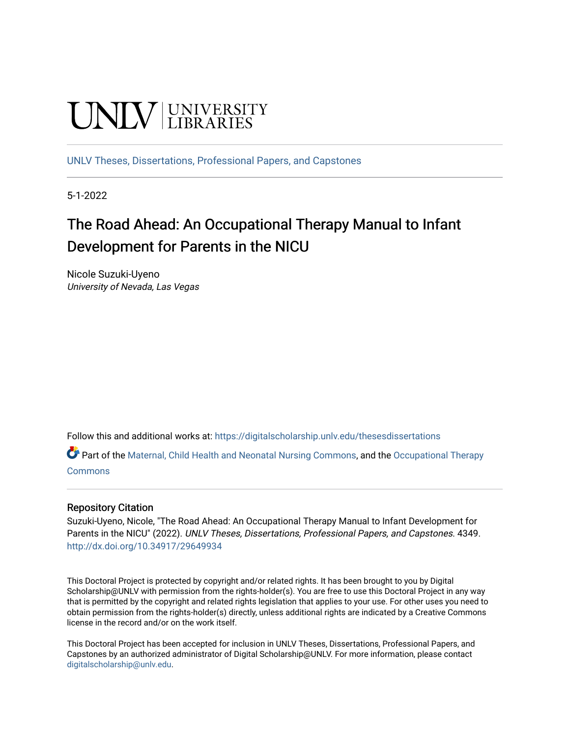# **UNIVERSITY**

[UNLV Theses, Dissertations, Professional Papers, and Capstones](https://digitalscholarship.unlv.edu/thesesdissertations)

5-1-2022

## The Road Ahead: An Occupational Therapy Manual to Infant Development for Parents in the NICU

Nicole Suzuki-Uyeno University of Nevada, Las Vegas

Follow this and additional works at: [https://digitalscholarship.unlv.edu/thesesdissertations](https://digitalscholarship.unlv.edu/thesesdissertations?utm_source=digitalscholarship.unlv.edu%2Fthesesdissertations%2F4349&utm_medium=PDF&utm_campaign=PDFCoverPages)

Part of the [Maternal, Child Health and Neonatal Nursing Commons,](https://network.bepress.com/hgg/discipline/721?utm_source=digitalscholarship.unlv.edu%2Fthesesdissertations%2F4349&utm_medium=PDF&utm_campaign=PDFCoverPages) and the [Occupational Therapy](https://network.bepress.com/hgg/discipline/752?utm_source=digitalscholarship.unlv.edu%2Fthesesdissertations%2F4349&utm_medium=PDF&utm_campaign=PDFCoverPages)  [Commons](https://network.bepress.com/hgg/discipline/752?utm_source=digitalscholarship.unlv.edu%2Fthesesdissertations%2F4349&utm_medium=PDF&utm_campaign=PDFCoverPages)

### Repository Citation

Suzuki-Uyeno, Nicole, "The Road Ahead: An Occupational Therapy Manual to Infant Development for Parents in the NICU" (2022). UNLV Theses, Dissertations, Professional Papers, and Capstones. 4349. <http://dx.doi.org/10.34917/29649934>

This Doctoral Project is protected by copyright and/or related rights. It has been brought to you by Digital Scholarship@UNLV with permission from the rights-holder(s). You are free to use this Doctoral Project in any way that is permitted by the copyright and related rights legislation that applies to your use. For other uses you need to obtain permission from the rights-holder(s) directly, unless additional rights are indicated by a Creative Commons license in the record and/or on the work itself.

This Doctoral Project has been accepted for inclusion in UNLV Theses, Dissertations, Professional Papers, and Capstones by an authorized administrator of Digital Scholarship@UNLV. For more information, please contact [digitalscholarship@unlv.edu](mailto:digitalscholarship@unlv.edu).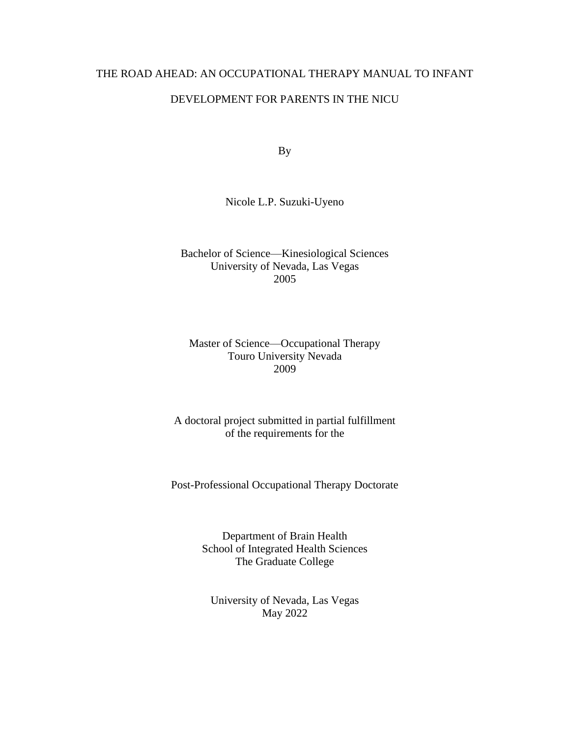## THE ROAD AHEAD: AN OCCUPATIONAL THERAPY MANUAL TO INFANT

### DEVELOPMENT FOR PARENTS IN THE NICU

By

Nicole L.P. Suzuki-Uyeno

Bachelor of Science—Kinesiological Sciences University of Nevada, Las Vegas 2005

Master of Science—Occupational Therapy Touro University Nevada 2009

A doctoral project submitted in partial fulfillment of the requirements for the

Post-Professional Occupational Therapy Doctorate

Department of Brain Health School of Integrated Health Sciences The Graduate College

University of Nevada, Las Vegas May 2022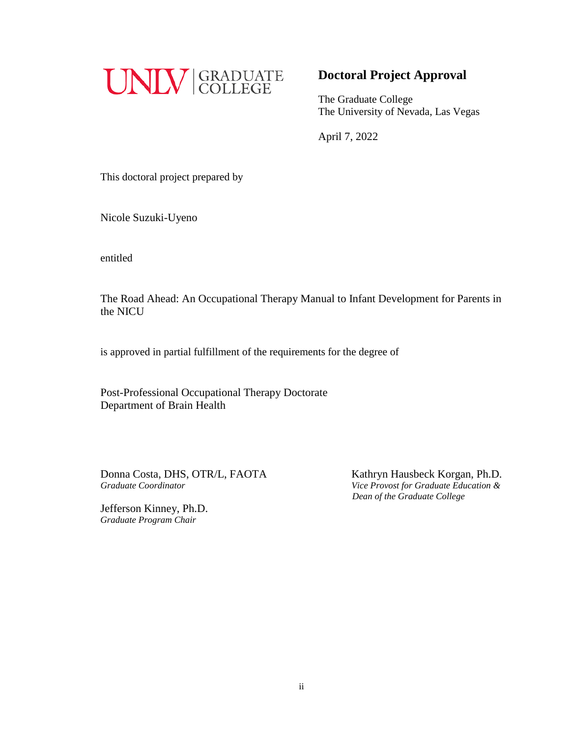

## **Doctoral Project Approval**

The Graduate College The University of Nevada, Las Vegas

April 7, 2022

This doctoral project prepared by

Nicole Suzuki-Uyeno

entitled

The Road Ahead: An Occupational Therapy Manual to Infant Development for Parents in the NICU

is approved in partial fulfillment of the requirements for the degree of

Post-Professional Occupational Therapy Doctorate Department of Brain Health

 Donna Costa, DHS, OTR/L, FAOTAKathryn Hausbeck Korgan, Ph.D. *Graduate Coordinator Vice Provost for Graduate Education &* 

Jefferson Kinney, Ph.D. *Graduate Program Chair*

 *Dean of the Graduate College*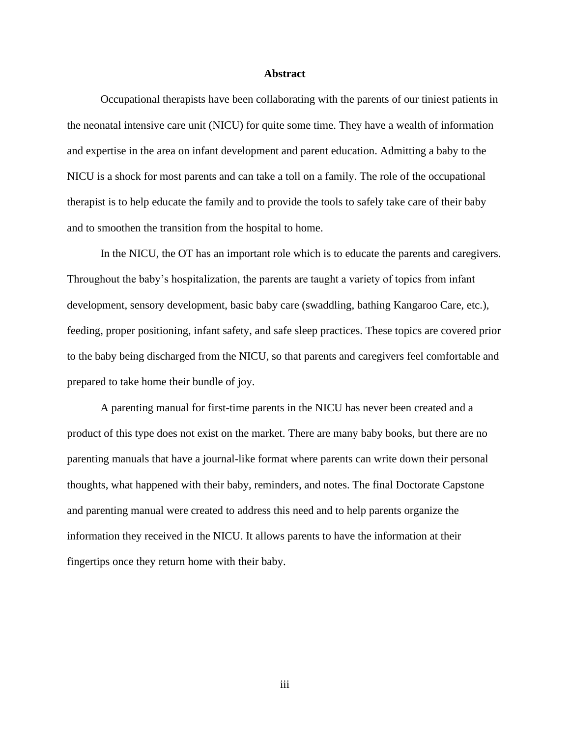### **Abstract**

Occupational therapists have been collaborating with the parents of our tiniest patients in the neonatal intensive care unit (NICU) for quite some time. They have a wealth of information and expertise in the area on infant development and parent education. Admitting a baby to the NICU is a shock for most parents and can take a toll on a family. The role of the occupational therapist is to help educate the family and to provide the tools to safely take care of their baby and to smoothen the transition from the hospital to home.

In the NICU, the OT has an important role which is to educate the parents and caregivers. Throughout the baby's hospitalization, the parents are taught a variety of topics from infant development, sensory development, basic baby care (swaddling, bathing Kangaroo Care, etc.), feeding, proper positioning, infant safety, and safe sleep practices. These topics are covered prior to the baby being discharged from the NICU, so that parents and caregivers feel comfortable and prepared to take home their bundle of joy.

A parenting manual for first-time parents in the NICU has never been created and a product of this type does not exist on the market. There are many baby books, but there are no parenting manuals that have a journal-like format where parents can write down their personal thoughts, what happened with their baby, reminders, and notes. The final Doctorate Capstone and parenting manual were created to address this need and to help parents organize the information they received in the NICU. It allows parents to have the information at their fingertips once they return home with their baby.

iii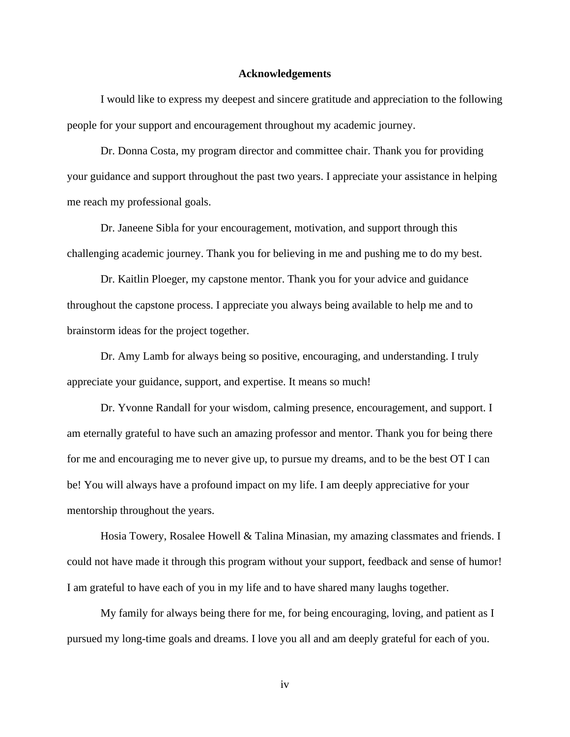### **Acknowledgements**

I would like to express my deepest and sincere gratitude and appreciation to the following people for your support and encouragement throughout my academic journey.

Dr. Donna Costa, my program director and committee chair. Thank you for providing your guidance and support throughout the past two years. I appreciate your assistance in helping me reach my professional goals.

Dr. Janeene Sibla for your encouragement, motivation, and support through this challenging academic journey. Thank you for believing in me and pushing me to do my best.

Dr. Kaitlin Ploeger, my capstone mentor. Thank you for your advice and guidance throughout the capstone process. I appreciate you always being available to help me and to brainstorm ideas for the project together.

Dr. Amy Lamb for always being so positive, encouraging, and understanding. I truly appreciate your guidance, support, and expertise. It means so much!

Dr. Yvonne Randall for your wisdom, calming presence, encouragement, and support. I am eternally grateful to have such an amazing professor and mentor. Thank you for being there for me and encouraging me to never give up, to pursue my dreams, and to be the best OT I can be! You will always have a profound impact on my life. I am deeply appreciative for your mentorship throughout the years.

Hosia Towery, Rosalee Howell & Talina Minasian, my amazing classmates and friends. I could not have made it through this program without your support, feedback and sense of humor! I am grateful to have each of you in my life and to have shared many laughs together.

My family for always being there for me, for being encouraging, loving, and patient as I pursued my long-time goals and dreams. I love you all and am deeply grateful for each of you.

iv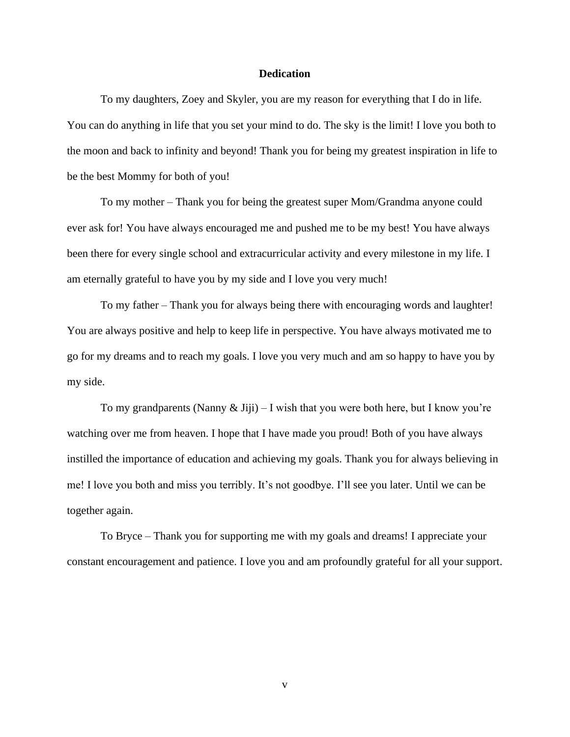### **Dedication**

To my daughters, Zoey and Skyler, you are my reason for everything that I do in life. You can do anything in life that you set your mind to do. The sky is the limit! I love you both to the moon and back to infinity and beyond! Thank you for being my greatest inspiration in life to be the best Mommy for both of you!

To my mother – Thank you for being the greatest super Mom/Grandma anyone could ever ask for! You have always encouraged me and pushed me to be my best! You have always been there for every single school and extracurricular activity and every milestone in my life. I am eternally grateful to have you by my side and I love you very much!

To my father – Thank you for always being there with encouraging words and laughter! You are always positive and help to keep life in perspective. You have always motivated me to go for my dreams and to reach my goals. I love you very much and am so happy to have you by my side.

To my grandparents (Nanny & Jiji) – I wish that you were both here, but I know you're watching over me from heaven. I hope that I have made you proud! Both of you have always instilled the importance of education and achieving my goals. Thank you for always believing in me! I love you both and miss you terribly. It's not goodbye. I'll see you later. Until we can be together again.

To Bryce – Thank you for supporting me with my goals and dreams! I appreciate your constant encouragement and patience. I love you and am profoundly grateful for all your support.

v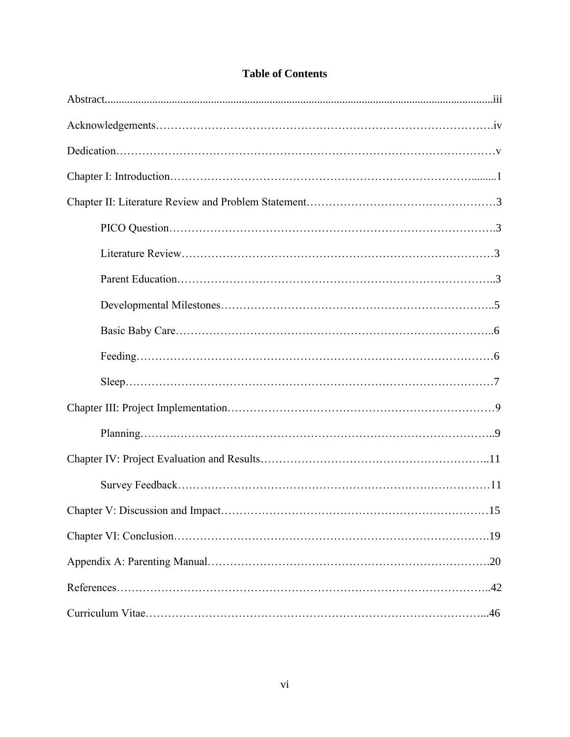## **Table of Contents**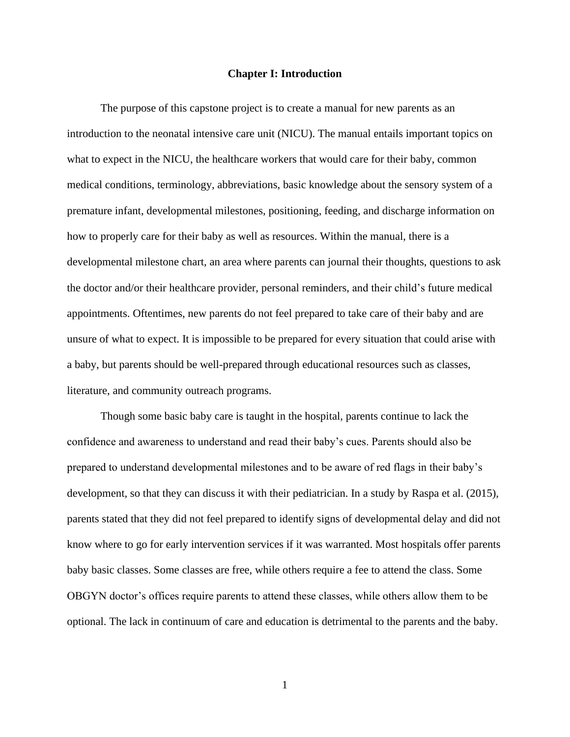### **Chapter I: Introduction**

The purpose of this capstone project is to create a manual for new parents as an introduction to the neonatal intensive care unit (NICU). The manual entails important topics on what to expect in the NICU, the healthcare workers that would care for their baby, common medical conditions, terminology, abbreviations, basic knowledge about the sensory system of a premature infant, developmental milestones, positioning, feeding, and discharge information on how to properly care for their baby as well as resources. Within the manual, there is a developmental milestone chart, an area where parents can journal their thoughts, questions to ask the doctor and/or their healthcare provider, personal reminders, and their child's future medical appointments. Oftentimes, new parents do not feel prepared to take care of their baby and are unsure of what to expect. It is impossible to be prepared for every situation that could arise with a baby, but parents should be well-prepared through educational resources such as classes, literature, and community outreach programs.

Though some basic baby care is taught in the hospital, parents continue to lack the confidence and awareness to understand and read their baby's cues. Parents should also be prepared to understand developmental milestones and to be aware of red flags in their baby's development, so that they can discuss it with their pediatrician. In a study by Raspa et al. (2015), parents stated that they did not feel prepared to identify signs of developmental delay and did not know where to go for early intervention services if it was warranted. Most hospitals offer parents baby basic classes. Some classes are free, while others require a fee to attend the class. Some OBGYN doctor's offices require parents to attend these classes, while others allow them to be optional. The lack in continuum of care and education is detrimental to the parents and the baby.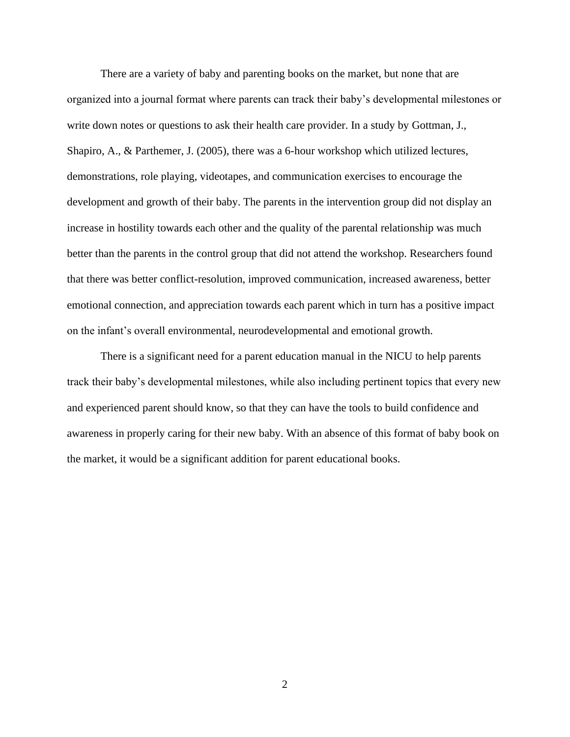There are a variety of baby and parenting books on the market, but none that are organized into a journal format where parents can track their baby's developmental milestones or write down notes or questions to ask their health care provider. In a study by Gottman, J., Shapiro, A., & Parthemer, J. (2005), there was a 6-hour workshop which utilized lectures, demonstrations, role playing, videotapes, and communication exercises to encourage the development and growth of their baby. The parents in the intervention group did not display an increase in hostility towards each other and the quality of the parental relationship was much better than the parents in the control group that did not attend the workshop. Researchers found that there was better conflict-resolution, improved communication, increased awareness, better emotional connection, and appreciation towards each parent which in turn has a positive impact on the infant's overall environmental, neurodevelopmental and emotional growth.

There is a significant need for a parent education manual in the NICU to help parents track their baby's developmental milestones, while also including pertinent topics that every new and experienced parent should know, so that they can have the tools to build confidence and awareness in properly caring for their new baby. With an absence of this format of baby book on the market, it would be a significant addition for parent educational books.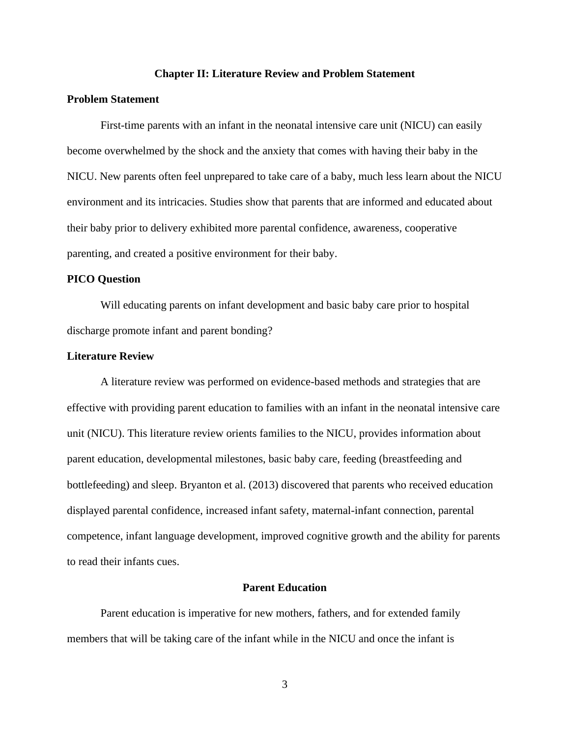### **Chapter II: Literature Review and Problem Statement**

### **Problem Statement**

First-time parents with an infant in the neonatal intensive care unit (NICU) can easily become overwhelmed by the shock and the anxiety that comes with having their baby in the NICU. New parents often feel unprepared to take care of a baby, much less learn about the NICU environment and its intricacies. Studies show that parents that are informed and educated about their baby prior to delivery exhibited more parental confidence, awareness, cooperative parenting, and created a positive environment for their baby.

### **PICO Question**

Will educating parents on infant development and basic baby care prior to hospital discharge promote infant and parent bonding?

### **Literature Review**

A literature review was performed on evidence-based methods and strategies that are effective with providing parent education to families with an infant in the neonatal intensive care unit (NICU). This literature review orients families to the NICU, provides information about parent education, developmental milestones, basic baby care, feeding (breastfeeding and bottlefeeding) and sleep. Bryanton et al. (2013) discovered that parents who received education displayed parental confidence, increased infant safety, maternal-infant connection, parental competence, infant language development, improved cognitive growth and the ability for parents to read their infants cues.

### **Parent Education**

Parent education is imperative for new mothers, fathers, and for extended family members that will be taking care of the infant while in the NICU and once the infant is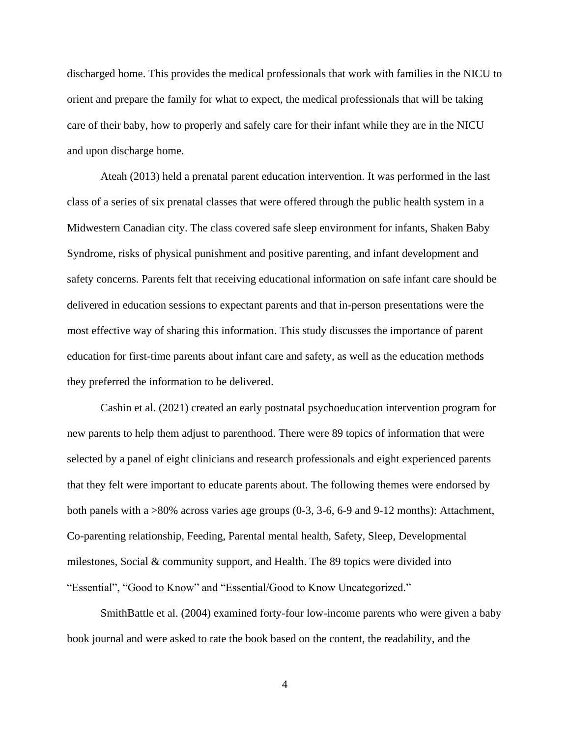discharged home. This provides the medical professionals that work with families in the NICU to orient and prepare the family for what to expect, the medical professionals that will be taking care of their baby, how to properly and safely care for their infant while they are in the NICU and upon discharge home.

Ateah (2013) held a prenatal parent education intervention. It was performed in the last class of a series of six prenatal classes that were offered through the public health system in a Midwestern Canadian city. The class covered safe sleep environment for infants, Shaken Baby Syndrome, risks of physical punishment and positive parenting, and infant development and safety concerns. Parents felt that receiving educational information on safe infant care should be delivered in education sessions to expectant parents and that in-person presentations were the most effective way of sharing this information. This study discusses the importance of parent education for first-time parents about infant care and safety, as well as the education methods they preferred the information to be delivered.

Cashin et al. (2021) created an early postnatal psychoeducation intervention program for new parents to help them adjust to parenthood. There were 89 topics of information that were selected by a panel of eight clinicians and research professionals and eight experienced parents that they felt were important to educate parents about. The following themes were endorsed by both panels with a >80% across varies age groups (0-3, 3-6, 6-9 and 9-12 months): Attachment, Co-parenting relationship, Feeding, Parental mental health, Safety, Sleep, Developmental milestones, Social  $&$  community support, and Health. The 89 topics were divided into "Essential", "Good to Know" and "Essential/Good to Know Uncategorized."

SmithBattle et al. (2004) examined forty-four low-income parents who were given a baby book journal and were asked to rate the book based on the content, the readability, and the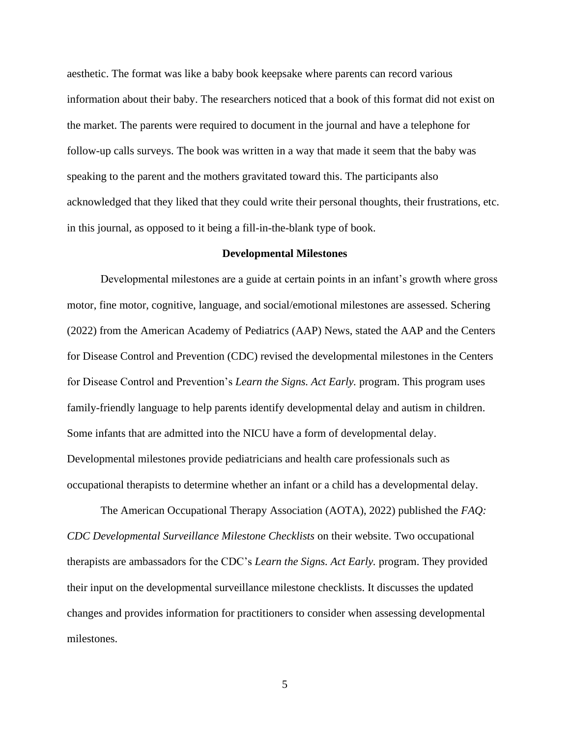aesthetic. The format was like a baby book keepsake where parents can record various information about their baby. The researchers noticed that a book of this format did not exist on the market. The parents were required to document in the journal and have a telephone for follow-up calls surveys. The book was written in a way that made it seem that the baby was speaking to the parent and the mothers gravitated toward this. The participants also acknowledged that they liked that they could write their personal thoughts, their frustrations, etc. in this journal, as opposed to it being a fill-in-the-blank type of book.

### **Developmental Milestones**

Developmental milestones are a guide at certain points in an infant's growth where gross motor, fine motor, cognitive, language, and social/emotional milestones are assessed. Schering (2022) from the American Academy of Pediatrics (AAP) News, stated the AAP and the Centers for Disease Control and Prevention (CDC) revised the developmental milestones in the Centers for Disease Control and Prevention's *Learn the Signs. Act Early.* program. This program uses family-friendly language to help parents identify developmental delay and autism in children. Some infants that are admitted into the NICU have a form of developmental delay. Developmental milestones provide pediatricians and health care professionals such as occupational therapists to determine whether an infant or a child has a developmental delay.

The American Occupational Therapy Association (AOTA), 2022) published the *FAQ: CDC Developmental Surveillance Milestone Checklists* on their website. Two occupational therapists are ambassadors for the CDC's *Learn the Signs. Act Early.* program. They provided their input on the developmental surveillance milestone checklists. It discusses the updated changes and provides information for practitioners to consider when assessing developmental milestones.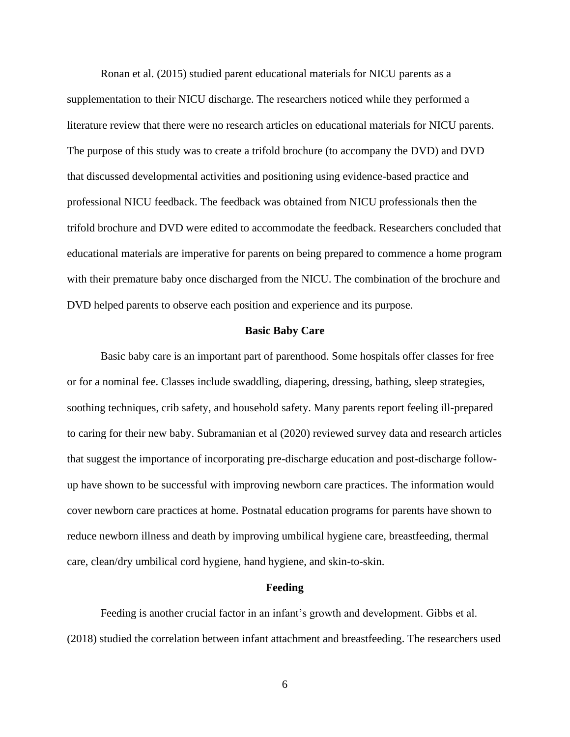Ronan et al. (2015) studied parent educational materials for NICU parents as a supplementation to their NICU discharge. The researchers noticed while they performed a literature review that there were no research articles on educational materials for NICU parents. The purpose of this study was to create a trifold brochure (to accompany the DVD) and DVD that discussed developmental activities and positioning using evidence-based practice and professional NICU feedback. The feedback was obtained from NICU professionals then the trifold brochure and DVD were edited to accommodate the feedback. Researchers concluded that educational materials are imperative for parents on being prepared to commence a home program with their premature baby once discharged from the NICU. The combination of the brochure and DVD helped parents to observe each position and experience and its purpose.

### **Basic Baby Care**

Basic baby care is an important part of parenthood. Some hospitals offer classes for free or for a nominal fee. Classes include swaddling, diapering, dressing, bathing, sleep strategies, soothing techniques, crib safety, and household safety. Many parents report feeling ill-prepared to caring for their new baby. Subramanian et al (2020) reviewed survey data and research articles that suggest the importance of incorporating pre-discharge education and post-discharge followup have shown to be successful with improving newborn care practices. The information would cover newborn care practices at home. Postnatal education programs for parents have shown to reduce newborn illness and death by improving umbilical hygiene care, breastfeeding, thermal care, clean/dry umbilical cord hygiene, hand hygiene, and skin-to-skin.

### **Feeding**

Feeding is another crucial factor in an infant's growth and development. Gibbs et al. (2018) studied the correlation between infant attachment and breastfeeding. The researchers used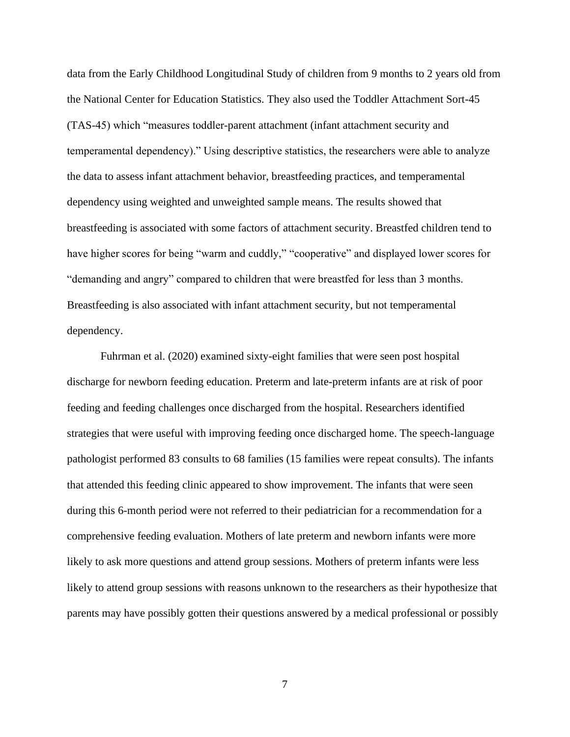data from the Early Childhood Longitudinal Study of children from 9 months to 2 years old from the National Center for Education Statistics. They also used the Toddler Attachment Sort-45 (TAS-45) which "measures toddler-parent attachment (infant attachment security and temperamental dependency)." Using descriptive statistics, the researchers were able to analyze the data to assess infant attachment behavior, breastfeeding practices, and temperamental dependency using weighted and unweighted sample means. The results showed that breastfeeding is associated with some factors of attachment security. Breastfed children tend to have higher scores for being "warm and cuddly," "cooperative" and displayed lower scores for "demanding and angry" compared to children that were breastfed for less than 3 months. Breastfeeding is also associated with infant attachment security, but not temperamental dependency.

Fuhrman et al. (2020) examined sixty-eight families that were seen post hospital discharge for newborn feeding education. Preterm and late-preterm infants are at risk of poor feeding and feeding challenges once discharged from the hospital. Researchers identified strategies that were useful with improving feeding once discharged home. The speech-language pathologist performed 83 consults to 68 families (15 families were repeat consults). The infants that attended this feeding clinic appeared to show improvement. The infants that were seen during this 6-month period were not referred to their pediatrician for a recommendation for a comprehensive feeding evaluation. Mothers of late preterm and newborn infants were more likely to ask more questions and attend group sessions. Mothers of preterm infants were less likely to attend group sessions with reasons unknown to the researchers as their hypothesize that parents may have possibly gotten their questions answered by a medical professional or possibly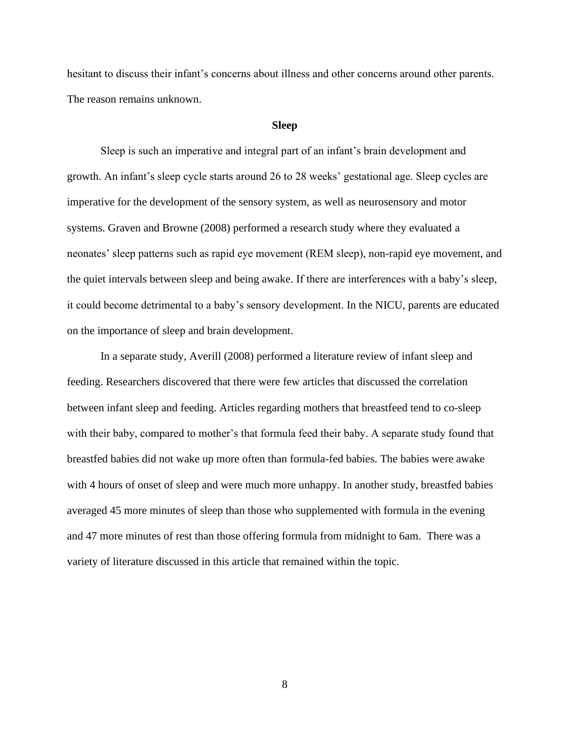hesitant to discuss their infant's concerns about illness and other concerns around other parents. The reason remains unknown.

### **Sleep**

Sleep is such an imperative and integral part of an infant's brain development and growth. An infant's sleep cycle starts around 26 to 28 weeks' gestational age. Sleep cycles are imperative for the development of the sensory system, as well as neurosensory and motor systems. Graven and Browne (2008) performed a research study where they evaluated a neonates' sleep patterns such as rapid eye movement (REM sleep), non-rapid eye movement, and the quiet intervals between sleep and being awake. If there are interferences with a baby's sleep, it could become detrimental to a baby's sensory development. In the NICU, parents are educated on the importance of sleep and brain development.

In a separate study, Averill (2008) performed a literature review of infant sleep and feeding. Researchers discovered that there were few articles that discussed the correlation between infant sleep and feeding. Articles regarding mothers that breastfeed tend to co-sleep with their baby, compared to mother's that formula feed their baby. A separate study found that breastfed babies did not wake up more often than formula-fed babies. The babies were awake with 4 hours of onset of sleep and were much more unhappy. In another study, breastfed babies averaged 45 more minutes of sleep than those who supplemented with formula in the evening and 47 more minutes of rest than those offering formula from midnight to 6am. There was a variety of literature discussed in this article that remained within the topic.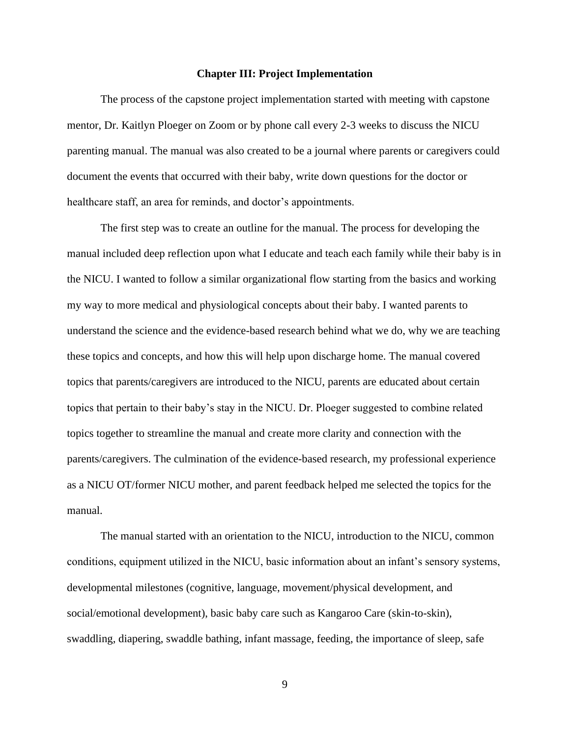### **Chapter III: Project Implementation**

The process of the capstone project implementation started with meeting with capstone mentor, Dr. Kaitlyn Ploeger on Zoom or by phone call every 2-3 weeks to discuss the NICU parenting manual. The manual was also created to be a journal where parents or caregivers could document the events that occurred with their baby, write down questions for the doctor or healthcare staff, an area for reminds, and doctor's appointments.

The first step was to create an outline for the manual. The process for developing the manual included deep reflection upon what I educate and teach each family while their baby is in the NICU. I wanted to follow a similar organizational flow starting from the basics and working my way to more medical and physiological concepts about their baby. I wanted parents to understand the science and the evidence-based research behind what we do, why we are teaching these topics and concepts, and how this will help upon discharge home. The manual covered topics that parents/caregivers are introduced to the NICU, parents are educated about certain topics that pertain to their baby's stay in the NICU. Dr. Ploeger suggested to combine related topics together to streamline the manual and create more clarity and connection with the parents/caregivers. The culmination of the evidence-based research, my professional experience as a NICU OT/former NICU mother, and parent feedback helped me selected the topics for the manual.

The manual started with an orientation to the NICU, introduction to the NICU, common conditions, equipment utilized in the NICU, basic information about an infant's sensory systems, developmental milestones (cognitive, language, movement/physical development, and social/emotional development), basic baby care such as Kangaroo Care (skin-to-skin), swaddling, diapering, swaddle bathing, infant massage, feeding, the importance of sleep, safe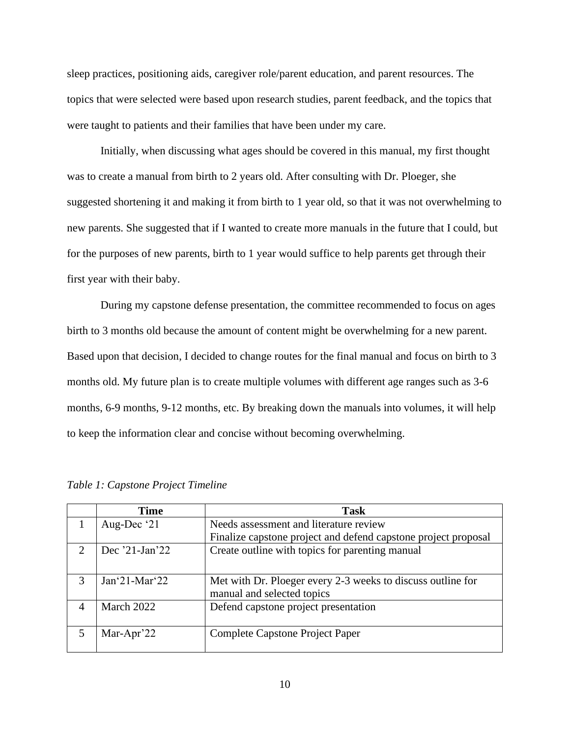sleep practices, positioning aids, caregiver role/parent education, and parent resources. The topics that were selected were based upon research studies, parent feedback, and the topics that were taught to patients and their families that have been under my care.

Initially, when discussing what ages should be covered in this manual, my first thought was to create a manual from birth to 2 years old. After consulting with Dr. Ploeger, she suggested shortening it and making it from birth to 1 year old, so that it was not overwhelming to new parents. She suggested that if I wanted to create more manuals in the future that I could, but for the purposes of new parents, birth to 1 year would suffice to help parents get through their first year with their baby.

During my capstone defense presentation, the committee recommended to focus on ages birth to 3 months old because the amount of content might be overwhelming for a new parent. Based upon that decision, I decided to change routes for the final manual and focus on birth to 3 months old. My future plan is to create multiple volumes with different age ranges such as 3-6 months, 6-9 months, 9-12 months, etc. By breaking down the manuals into volumes, it will help to keep the information clear and concise without becoming overwhelming.

|                         | <b>Time</b>        | <b>Task</b>                                                    |
|-------------------------|--------------------|----------------------------------------------------------------|
|                         | Aug-Dec '21        | Needs assessment and literature review                         |
|                         |                    | Finalize capstone project and defend capstone project proposal |
| 2                       | Dec $21$ -Jan $22$ | Create outline with topics for parenting manual                |
|                         |                    |                                                                |
| 3                       | $Jan^21-Mar^22$    | Met with Dr. Ploeger every 2-3 weeks to discuss outline for    |
|                         |                    | manual and selected topics                                     |
|                         | March 2022         | Defend capstone project presentation                           |
|                         |                    |                                                                |
| $\overline{\mathbf{5}}$ | Mar-Apr'22         | Complete Capstone Project Paper                                |
|                         |                    |                                                                |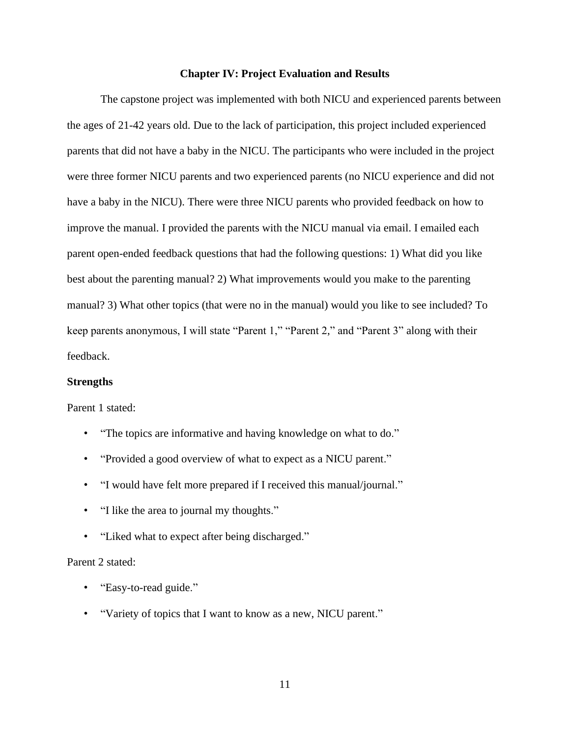### **Chapter IV: Project Evaluation and Results**

The capstone project was implemented with both NICU and experienced parents between the ages of 21-42 years old. Due to the lack of participation, this project included experienced parents that did not have a baby in the NICU. The participants who were included in the project were three former NICU parents and two experienced parents (no NICU experience and did not have a baby in the NICU). There were three NICU parents who provided feedback on how to improve the manual. I provided the parents with the NICU manual via email. I emailed each parent open-ended feedback questions that had the following questions: 1) What did you like best about the parenting manual? 2) What improvements would you make to the parenting manual? 3) What other topics (that were no in the manual) would you like to see included? To keep parents anonymous, I will state "Parent 1," "Parent 2," and "Parent 3" along with their feedback.

### **Strengths**

Parent 1 stated:

- "The topics are informative and having knowledge on what to do."
- "Provided a good overview of what to expect as a NICU parent."
- "I would have felt more prepared if I received this manual/journal."
- "I like the area to journal my thoughts."
- "Liked what to expect after being discharged."

### Parent 2 stated:

- "Easy-to-read guide."
- "Variety of topics that I want to know as a new, NICU parent."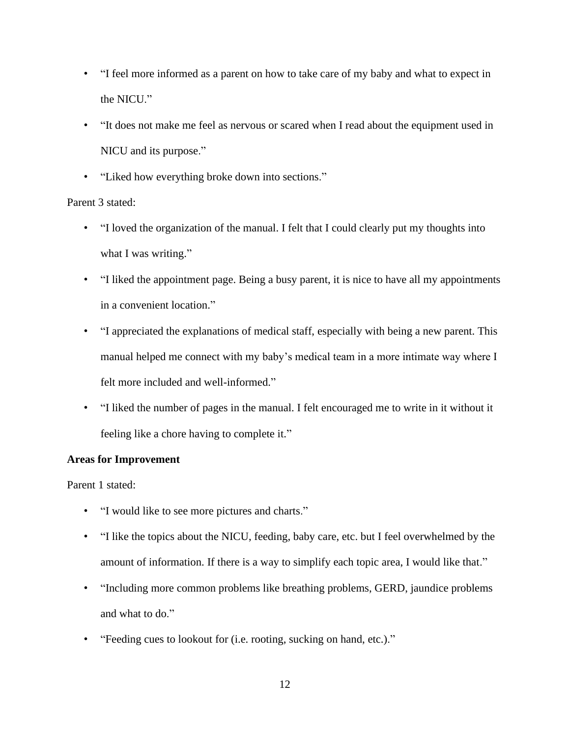- "I feel more informed as a parent on how to take care of my baby and what to expect in the NICU."
- "It does not make me feel as nervous or scared when I read about the equipment used in NICU and its purpose."
- "Liked how everything broke down into sections."

## Parent 3 stated:

- "I loved the organization of the manual. I felt that I could clearly put my thoughts into what I was writing."
- "I liked the appointment page. Being a busy parent, it is nice to have all my appointments in a convenient location."
- "I appreciated the explanations of medical staff, especially with being a new parent. This manual helped me connect with my baby's medical team in a more intimate way where I felt more included and well-informed."
- "I liked the number of pages in the manual. I felt encouraged me to write in it without it feeling like a chore having to complete it."

## **Areas for Improvement**

Parent 1 stated:

- "I would like to see more pictures and charts."
- "I like the topics about the NICU, feeding, baby care, etc. but I feel overwhelmed by the amount of information. If there is a way to simplify each topic area, I would like that."
- "Including more common problems like breathing problems, GERD, jaundice problems and what to do."
- "Feeding cues to lookout for (i.e. rooting, sucking on hand, etc.)."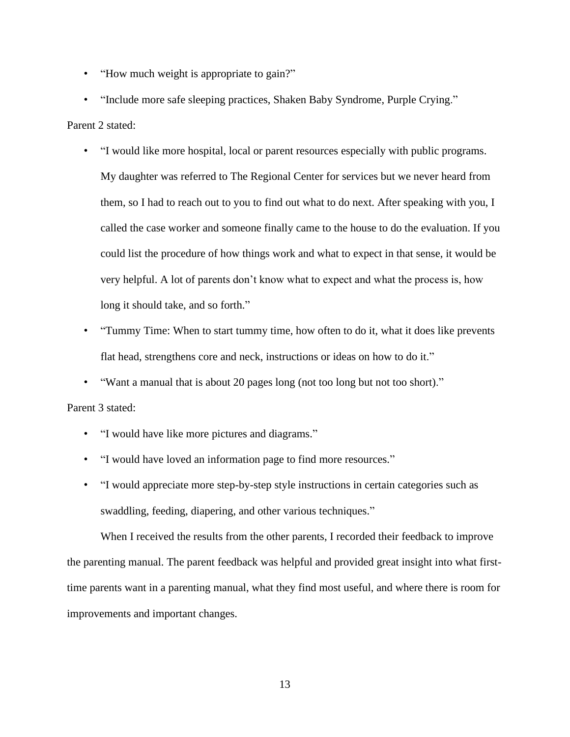- "How much weight is appropriate to gain?"
- "Include more safe sleeping practices, Shaken Baby Syndrome, Purple Crying."

### Parent 2 stated:

- "I would like more hospital, local or parent resources especially with public programs. My daughter was referred to The Regional Center for services but we never heard from them, so I had to reach out to you to find out what to do next. After speaking with you, I called the case worker and someone finally came to the house to do the evaluation. If you could list the procedure of how things work and what to expect in that sense, it would be very helpful. A lot of parents don't know what to expect and what the process is, how long it should take, and so forth."
- "Tummy Time: When to start tummy time, how often to do it, what it does like prevents flat head, strengthens core and neck, instructions or ideas on how to do it."
- "Want a manual that is about 20 pages long (not too long but not too short)."

### Parent 3 stated:

- "I would have like more pictures and diagrams."
- "I would have loved an information page to find more resources."
- "I would appreciate more step-by-step style instructions in certain categories such as swaddling, feeding, diapering, and other various techniques."

When I received the results from the other parents, I recorded their feedback to improve the parenting manual. The parent feedback was helpful and provided great insight into what firsttime parents want in a parenting manual, what they find most useful, and where there is room for improvements and important changes.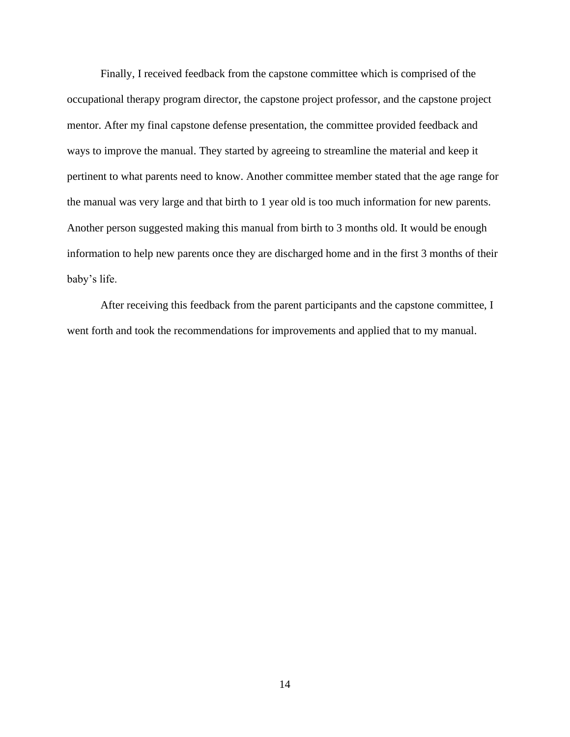Finally, I received feedback from the capstone committee which is comprised of the occupational therapy program director, the capstone project professor, and the capstone project mentor. After my final capstone defense presentation, the committee provided feedback and ways to improve the manual. They started by agreeing to streamline the material and keep it pertinent to what parents need to know. Another committee member stated that the age range for the manual was very large and that birth to 1 year old is too much information for new parents. Another person suggested making this manual from birth to 3 months old. It would be enough information to help new parents once they are discharged home and in the first 3 months of their baby's life.

After receiving this feedback from the parent participants and the capstone committee, I went forth and took the recommendations for improvements and applied that to my manual.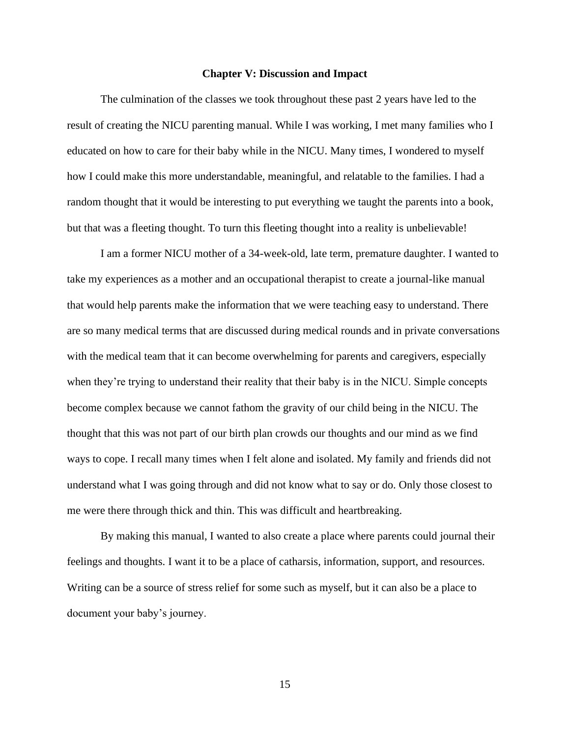### **Chapter V: Discussion and Impact**

The culmination of the classes we took throughout these past 2 years have led to the result of creating the NICU parenting manual. While I was working, I met many families who I educated on how to care for their baby while in the NICU. Many times, I wondered to myself how I could make this more understandable, meaningful, and relatable to the families. I had a random thought that it would be interesting to put everything we taught the parents into a book, but that was a fleeting thought. To turn this fleeting thought into a reality is unbelievable!

I am a former NICU mother of a 34-week-old, late term, premature daughter. I wanted to take my experiences as a mother and an occupational therapist to create a journal-like manual that would help parents make the information that we were teaching easy to understand. There are so many medical terms that are discussed during medical rounds and in private conversations with the medical team that it can become overwhelming for parents and caregivers, especially when they're trying to understand their reality that their baby is in the NICU. Simple concepts become complex because we cannot fathom the gravity of our child being in the NICU. The thought that this was not part of our birth plan crowds our thoughts and our mind as we find ways to cope. I recall many times when I felt alone and isolated. My family and friends did not understand what I was going through and did not know what to say or do. Only those closest to me were there through thick and thin. This was difficult and heartbreaking.

By making this manual, I wanted to also create a place where parents could journal their feelings and thoughts. I want it to be a place of catharsis, information, support, and resources. Writing can be a source of stress relief for some such as myself, but it can also be a place to document your baby's journey.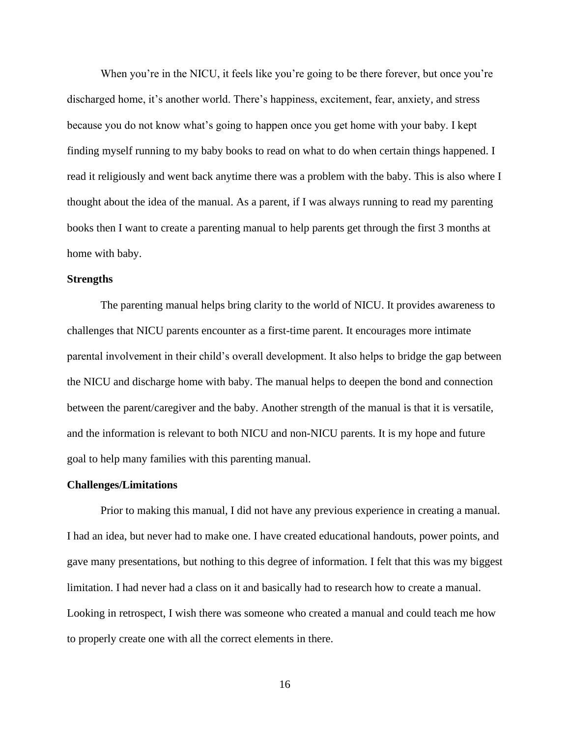When you're in the NICU, it feels like you're going to be there forever, but once you're discharged home, it's another world. There's happiness, excitement, fear, anxiety, and stress because you do not know what's going to happen once you get home with your baby. I kept finding myself running to my baby books to read on what to do when certain things happened. I read it religiously and went back anytime there was a problem with the baby. This is also where I thought about the idea of the manual. As a parent, if I was always running to read my parenting books then I want to create a parenting manual to help parents get through the first 3 months at home with baby.

### **Strengths**

The parenting manual helps bring clarity to the world of NICU. It provides awareness to challenges that NICU parents encounter as a first-time parent. It encourages more intimate parental involvement in their child's overall development. It also helps to bridge the gap between the NICU and discharge home with baby. The manual helps to deepen the bond and connection between the parent/caregiver and the baby. Another strength of the manual is that it is versatile, and the information is relevant to both NICU and non-NICU parents. It is my hope and future goal to help many families with this parenting manual.

### **Challenges/Limitations**

Prior to making this manual, I did not have any previous experience in creating a manual. I had an idea, but never had to make one. I have created educational handouts, power points, and gave many presentations, but nothing to this degree of information. I felt that this was my biggest limitation. I had never had a class on it and basically had to research how to create a manual. Looking in retrospect, I wish there was someone who created a manual and could teach me how to properly create one with all the correct elements in there.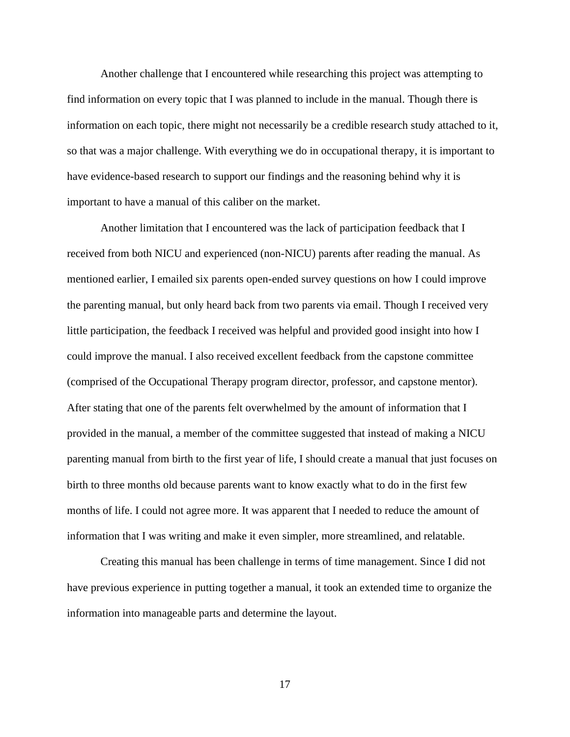Another challenge that I encountered while researching this project was attempting to find information on every topic that I was planned to include in the manual. Though there is information on each topic, there might not necessarily be a credible research study attached to it, so that was a major challenge. With everything we do in occupational therapy, it is important to have evidence-based research to support our findings and the reasoning behind why it is important to have a manual of this caliber on the market.

Another limitation that I encountered was the lack of participation feedback that I received from both NICU and experienced (non-NICU) parents after reading the manual. As mentioned earlier, I emailed six parents open-ended survey questions on how I could improve the parenting manual, but only heard back from two parents via email. Though I received very little participation, the feedback I received was helpful and provided good insight into how I could improve the manual. I also received excellent feedback from the capstone committee (comprised of the Occupational Therapy program director, professor, and capstone mentor). After stating that one of the parents felt overwhelmed by the amount of information that I provided in the manual, a member of the committee suggested that instead of making a NICU parenting manual from birth to the first year of life, I should create a manual that just focuses on birth to three months old because parents want to know exactly what to do in the first few months of life. I could not agree more. It was apparent that I needed to reduce the amount of information that I was writing and make it even simpler, more streamlined, and relatable.

Creating this manual has been challenge in terms of time management. Since I did not have previous experience in putting together a manual, it took an extended time to organize the information into manageable parts and determine the layout.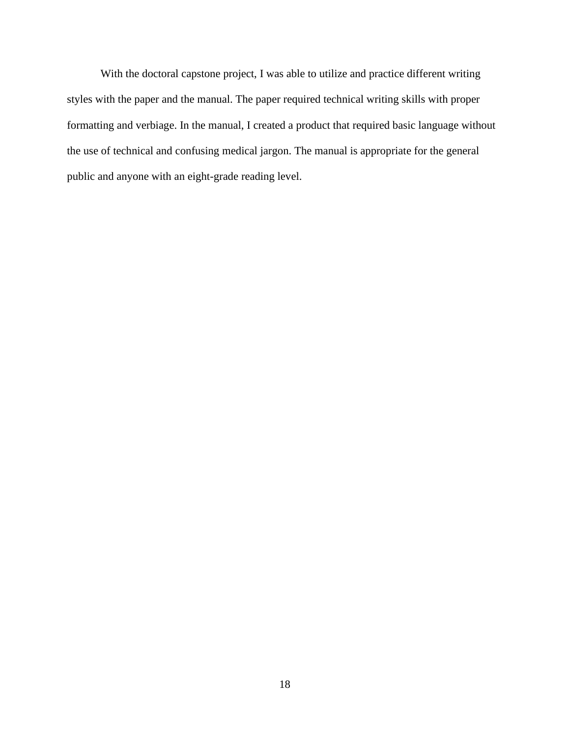With the doctoral capstone project, I was able to utilize and practice different writing styles with the paper and the manual. The paper required technical writing skills with proper formatting and verbiage. In the manual, I created a product that required basic language without the use of technical and confusing medical jargon. The manual is appropriate for the general public and anyone with an eight-grade reading level.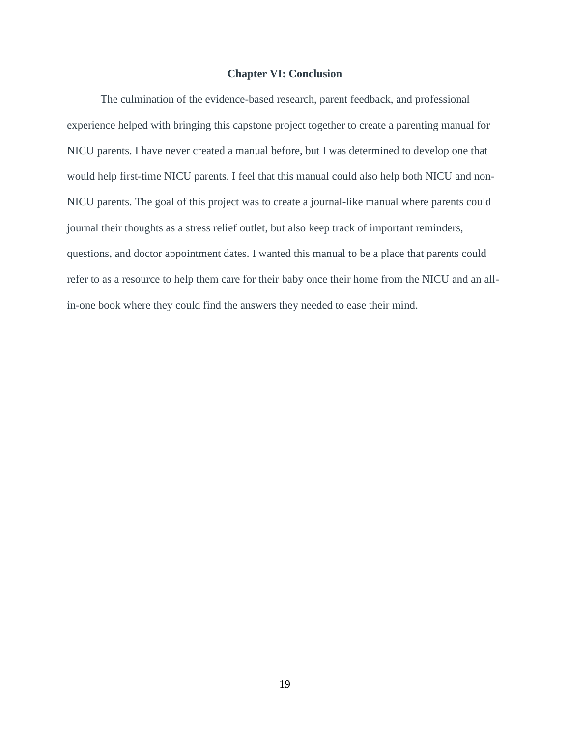### **Chapter VI: Conclusion**

The culmination of the evidence-based research, parent feedback, and professional experience helped with bringing this capstone project together to create a parenting manual for NICU parents. I have never created a manual before, but I was determined to develop one that would help first-time NICU parents. I feel that this manual could also help both NICU and non-NICU parents. The goal of this project was to create a journal-like manual where parents could journal their thoughts as a stress relief outlet, but also keep track of important reminders, questions, and doctor appointment dates. I wanted this manual to be a place that parents could refer to as a resource to help them care for their baby once their home from the NICU and an allin-one book where they could find the answers they needed to ease their mind.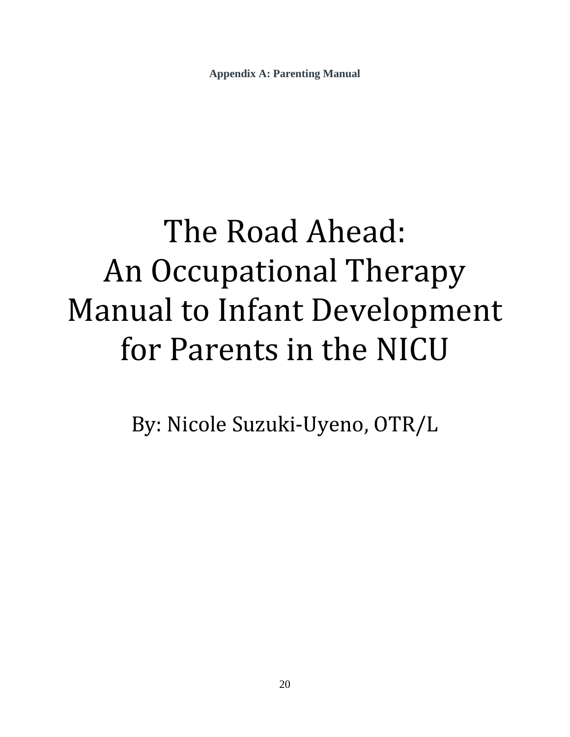**Appendix A: Parenting Manual**

# The Road Ahead: An Occupational Therapy Manual to Infant Development for Parents in the NICU

By: Nicole Suzuki-Uyeno, OTR/L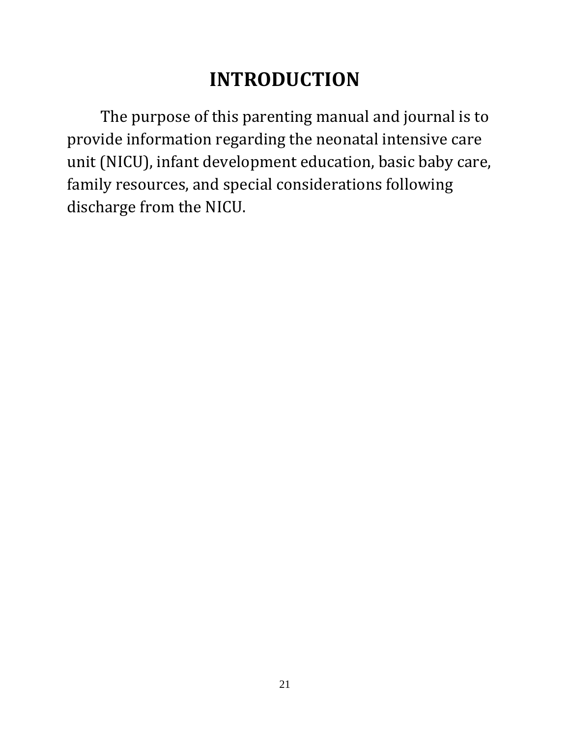# **INTRODUCTION**

The purpose of this parenting manual and journal is to provide information regarding the neonatal intensive care unit (NICU), infant development education, basic baby care, family resources, and special considerations following discharge from the NICU.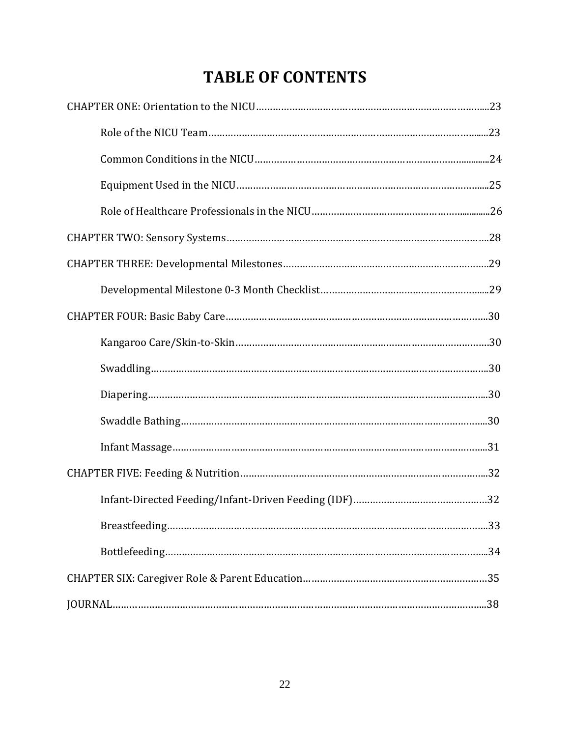# **TABLE OF CONTENTS**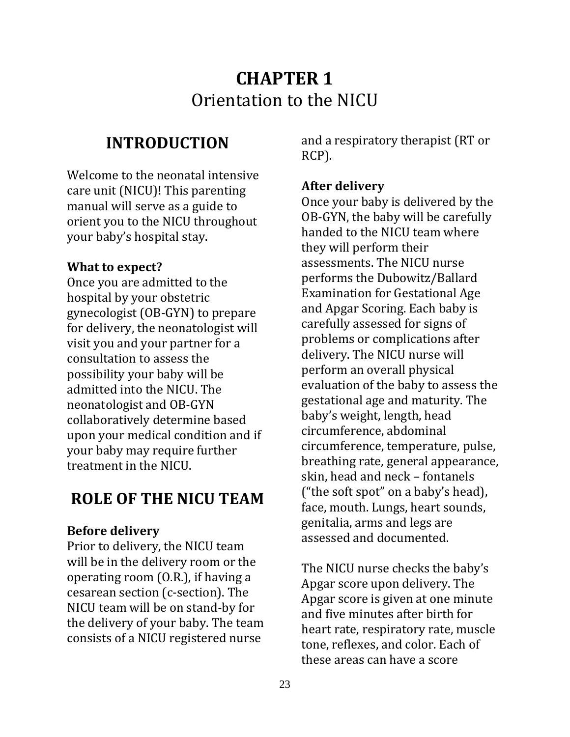# **CHAPTER 1** Orientation to the NICU

## **INTRODUCTION**

Welcome to the neonatal intensive care unit (NICU)! This parenting manual will serve as a guide to orient you to the NICU throughout your baby's hospital stay.

## **What to expect?**

Once you are admitted to the hospital by your obstetric gynecologist (OB-GYN) to prepare for delivery, the neonatologist will visit you and your partner for a consultation to assess the possibility your baby will be admitted into the NICU. The neonatologist and OB-GYN collaboratively determine based upon your medical condition and if your baby may require further treatment in the NICU.

## **ROLE OF THE NICU TEAM**

## **Before delivery**

Prior to delivery, the NICU team will be in the delivery room or the operating room (O.R.), if having a cesarean section (c-section). The NICU team will be on stand-by for the delivery of your baby. The team consists of a NICU registered nurse

and a respiratory therapist (RT or RCP).

## **After delivery**

Once your baby is delivered by the OB-GYN, the baby will be carefully handed to the NICU team where they will perform their assessments. The NICU nurse performs the Dubowitz/Ballard Examination for Gestational Age and Apgar Scoring. Each baby is carefully assessed for signs of problems or complications after delivery. The NICU nurse will perform an overall physical evaluation of the baby to assess the gestational age and maturity. The baby's weight, length, head circumference, abdominal circumference, temperature, pulse, breathing rate, general appearance, skin, head and neck – fontanels ("the soft spot" on a baby's head), face, mouth. Lungs, heart sounds, genitalia, arms and legs are assessed and documented.

The NICU nurse checks the baby's Apgar score upon delivery. The Apgar score is given at one minute and five minutes after birth for heart rate, respiratory rate, muscle tone, reflexes, and color. Each of these areas can have a score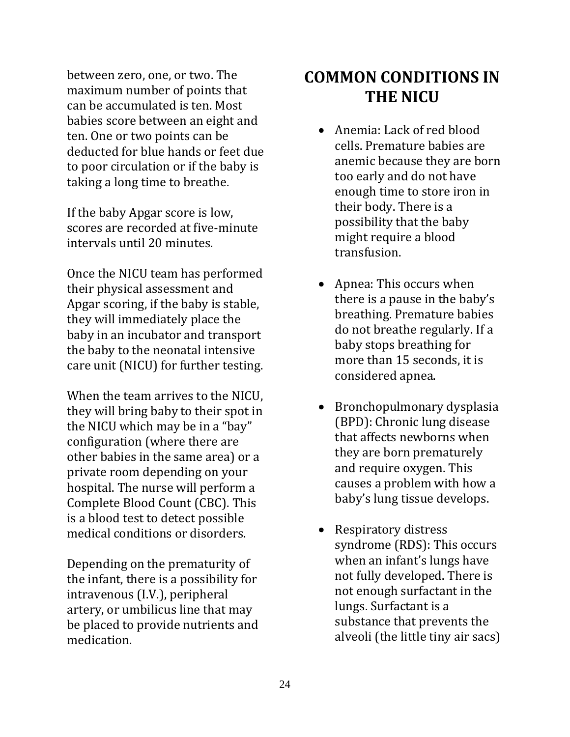between zero, one, or two. The maximum number of points that can be accumulated is ten. Most babies score between an eight and ten. One or two points can be deducted for blue hands or feet due to poor circulation or if the baby is taking a long time to breathe.

If the baby Apgar score is low, scores are recorded at five-minute intervals until 20 minutes.

Once the NICU team has performed their physical assessment and Apgar scoring, if the baby is stable, they will immediately place the baby in an incubator and transport the baby to the neonatal intensive care unit (NICU) for further testing.

When the team arrives to the NICU, they will bring baby to their spot in the NICU which may be in a "bay" configuration (where there are other babies in the same area) or a private room depending on your hospital. The nurse will perform a Complete Blood Count (CBC). This is a blood test to detect possible medical conditions or disorders.

Depending on the prematurity of the infant, there is a possibility for intravenous (I.V.), peripheral artery, or umbilicus line that may be placed to provide nutrients and medication.

## **COMMON CONDITIONS IN THE NICU**

- Anemia: Lack of red blood cells. Premature babies are anemic because they are born too early and do not have enough time to store iron in their body. There is a possibility that the baby might require a blood transfusion.
- Apnea: This occurs when there is a pause in the baby's breathing. Premature babies do not breathe regularly. If a baby stops breathing for more than 15 seconds, it is considered apnea.
- Bronchopulmonary dysplasia (BPD): Chronic lung disease that affects newborns when they are born prematurely and require oxygen. This causes a problem with how a baby's lung tissue develops.
- Respiratory distress syndrome (RDS): This occurs when an infant's lungs have not fully developed. There is not enough surfactant in the lungs. Surfactant is a substance that prevents the alveoli (the little tiny air sacs)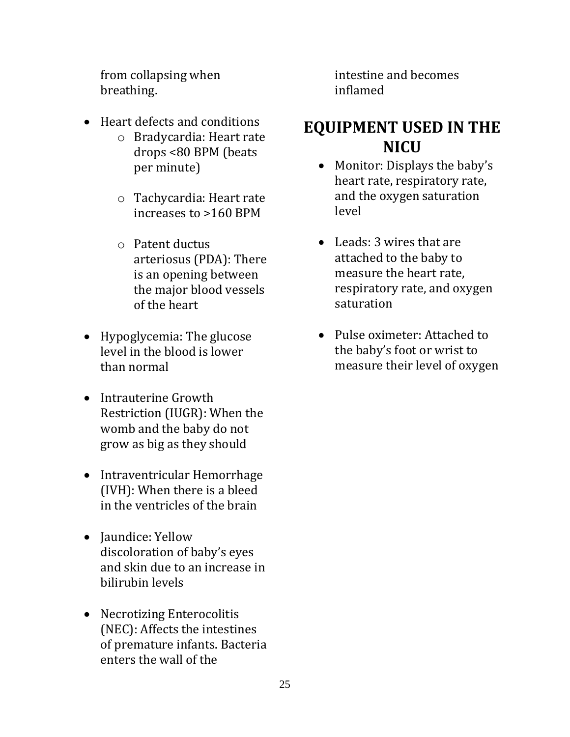from collapsing when breathing.

- Heart defects and conditions
	- o Bradycardia: Heart rate drops <80 BPM (beats per minute)
	- o Tachycardia: Heart rate increases to >160 BPM
	- o Patent ductus arteriosus (PDA): There is an opening between the major blood vessels of the heart
- Hypoglycemia: The glucose level in the blood is lower than normal
- Intrauterine Growth Restriction (IUGR): When the womb and the baby do not grow as big as they should
- Intraventricular Hemorrhage (IVH): When there is a bleed in the ventricles of the brain
- Jaundice: Yellow discoloration of baby's eyes and skin due to an increase in bilirubin levels
- Necrotizing Enterocolitis (NEC): Affects the intestines of premature infants. Bacteria enters the wall of the

intestine and becomes inflamed

## **EQUIPMENT USED IN THE NICU**

- Monitor: Displays the baby's heart rate, respiratory rate, and the oxygen saturation level
- Leads: 3 wires that are attached to the baby to measure the heart rate, respiratory rate, and oxygen saturation
- Pulse oximeter: Attached to the baby's foot or wrist to measure their level of oxygen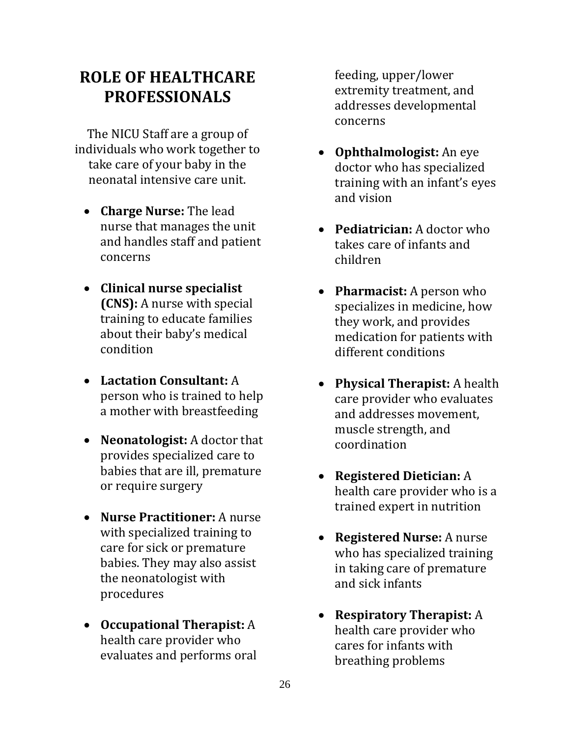## **ROLE OF HEALTHCARE PROFESSIONALS**

The NICU Staff are a group of individuals who work together to take care of your baby in the neonatal intensive care unit.

- **Charge Nurse:** The lead nurse that manages the unit and handles staff and patient concerns
- **Clinical nurse specialist (CNS):** A nurse with special training to educate families about their baby's medical condition
- **Lactation Consultant:** A person who is trained to help a mother with breastfeeding
- **Neonatologist:** A doctor that provides specialized care to babies that are ill, premature or require surgery
- **Nurse Practitioner:** A nurse with specialized training to care for sick or premature babies. They may also assist the neonatologist with procedures
- **Occupational Therapist:** A health care provider who evaluates and performs oral

feeding, upper/lower extremity treatment, and addresses developmental concerns

- **Ophthalmologist:** An eye doctor who has specialized training with an infant's eyes and vision
- **Pediatrician:** A doctor who takes care of infants and children
- **Pharmacist:** A person who specializes in medicine, how they work, and provides medication for patients with different conditions
- **Physical Therapist:** A health care provider who evaluates and addresses movement, muscle strength, and coordination
- **Registered Dietician:** A health care provider who is a trained expert in nutrition
- **Registered Nurse:** A nurse who has specialized training in taking care of premature and sick infants
- **Respiratory Therapist:** A health care provider who cares for infants with breathing problems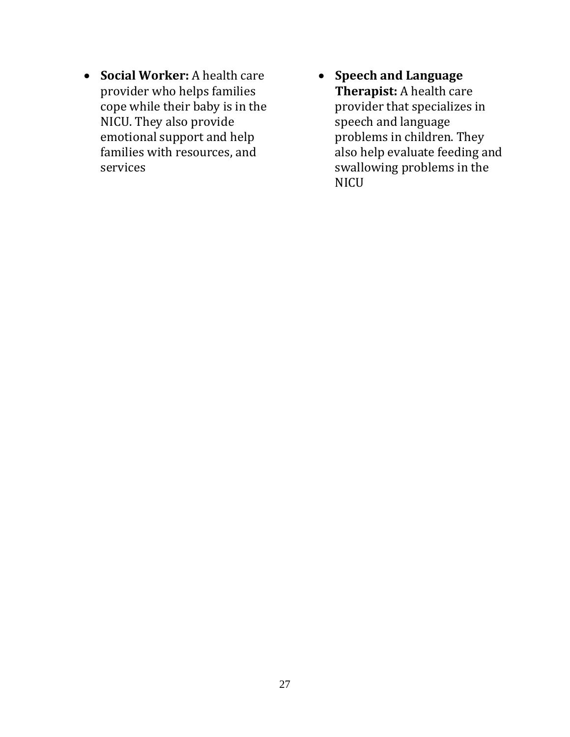- **Social Worker:** A health care provider who helps families cope while their baby is in the NICU. They also provide emotional support and help families with resources, and services
- **Speech and Language Therapist:** A health care provider that specializes in speech and language problems in children. They also help evaluate feeding and swallowing problems in the **NICU**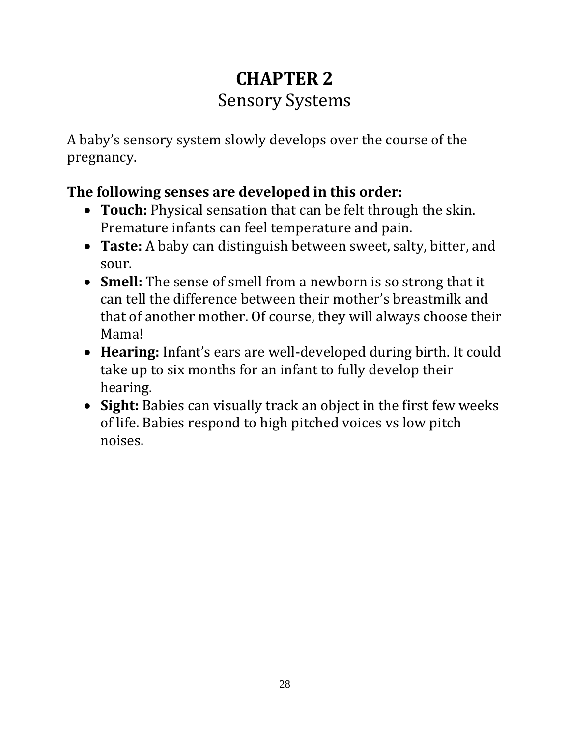# **CHAPTER 2** Sensory Systems

A baby's sensory system slowly develops over the course of the pregnancy.

## **The following senses are developed in this order:**

- **Touch:** Physical sensation that can be felt through the skin. Premature infants can feel temperature and pain.
- **Taste:** A baby can distinguish between sweet, salty, bitter, and sour.
- **Smell:** The sense of smell from a newborn is so strong that it can tell the difference between their mother's breastmilk and that of another mother. Of course, they will always choose their Mama!
- **Hearing:** Infant's ears are well-developed during birth. It could take up to six months for an infant to fully develop their hearing.
- **Sight:** Babies can visually track an object in the first few weeks of life. Babies respond to high pitched voices vs low pitch noises.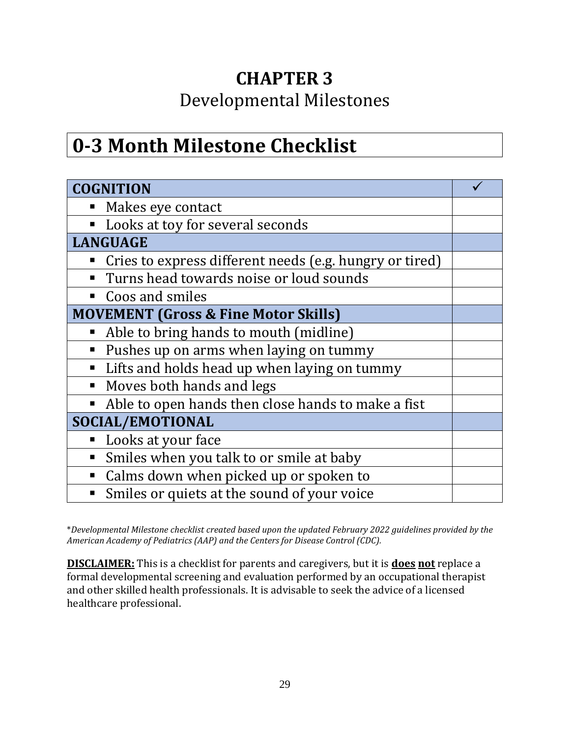# **CHAPTER 3**

## Developmental Milestones

# **0-3 Month Milestone Checklist**

| <b>COGNITION</b>                                              |  |  |
|---------------------------------------------------------------|--|--|
| Makes eye contact<br>п                                        |  |  |
| Looks at toy for several seconds<br>$\blacksquare$            |  |  |
| <b>LANGUAGE</b>                                               |  |  |
| Cries to express different needs (e.g. hungry or tired)       |  |  |
| Turns head towards noise or loud sounds<br>п                  |  |  |
| Coos and smiles<br>п                                          |  |  |
| <b>MOVEMENT (Gross &amp; Fine Motor Skills)</b>               |  |  |
| Able to bring hands to mouth (midline)<br>п                   |  |  |
| Pushes up on arms when laying on tummy<br>п                   |  |  |
| Lifts and holds head up when laying on tummy<br>п             |  |  |
| Moves both hands and legs<br>$\blacksquare$                   |  |  |
| Able to open hands then close hands to make a fist<br>п       |  |  |
| SOCIAL/EMOTIONAL                                              |  |  |
| Looks at your face<br>п                                       |  |  |
| Smiles when you talk to or smile at baby<br>п                 |  |  |
| Calms down when picked up or spoken to<br>п                   |  |  |
| Smiles or quiets at the sound of your voice<br>$\blacksquare$ |  |  |

\**Developmental Milestone checklist created based upon the updated February 2022 guidelines provided by the American Academy of Pediatrics (AAP) and the Centers for Disease Control (CDC).*

**DISCLAIMER:** This is a checklist for parents and caregivers, but it is **does not** replace a formal developmental screening and evaluation performed by an occupational therapist and other skilled health professionals. It is advisable to seek the advice of a licensed healthcare professional.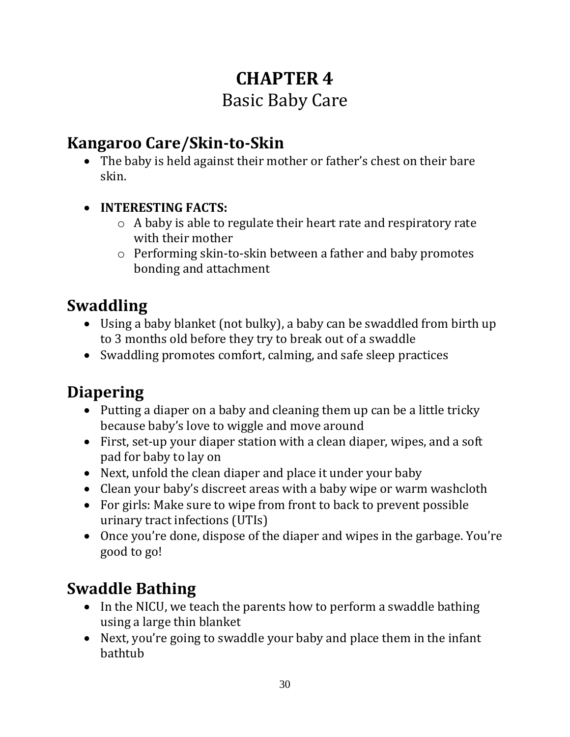# **CHAPTER 4** Basic Baby Care

## **Kangaroo Care/Skin-to-Skin**

- The baby is held against their mother or father's chest on their bare skin.
- **INTERESTING FACTS:** 
	- o A baby is able to regulate their heart rate and respiratory rate with their mother
	- o Performing skin-to-skin between a father and baby promotes bonding and attachment

## **Swaddling**

- Using a baby blanket (not bulky), a baby can be swaddled from birth up to 3 months old before they try to break out of a swaddle
- Swaddling promotes comfort, calming, and safe sleep practices

## **Diapering**

- Putting a diaper on a baby and cleaning them up can be a little tricky because baby's love to wiggle and move around
- First, set-up your diaper station with a clean diaper, wipes, and a soft pad for baby to lay on
- Next, unfold the clean diaper and place it under your baby
- Clean your baby's discreet areas with a baby wipe or warm washcloth
- For girls: Make sure to wipe from front to back to prevent possible urinary tract infections (UTIs)
- Once you're done, dispose of the diaper and wipes in the garbage. You're good to go!

## **Swaddle Bathing**

- In the NICU, we teach the parents how to perform a swaddle bathing using a large thin blanket
- Next, you're going to swaddle your baby and place them in the infant bathtub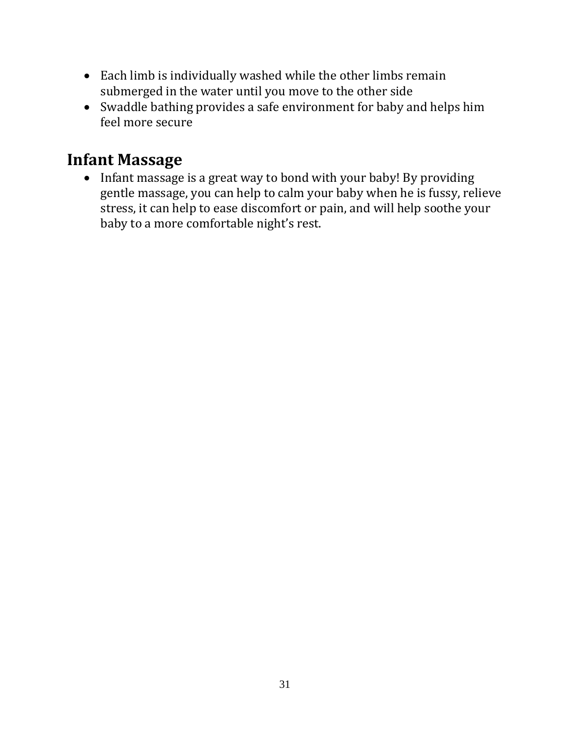- Each limb is individually washed while the other limbs remain submerged in the water until you move to the other side
- Swaddle bathing provides a safe environment for baby and helps him feel more secure

## **Infant Massage**

• Infant massage is a great way to bond with your baby! By providing gentle massage, you can help to calm your baby when he is fussy, relieve stress, it can help to ease discomfort or pain, and will help soothe your baby to a more comfortable night's rest.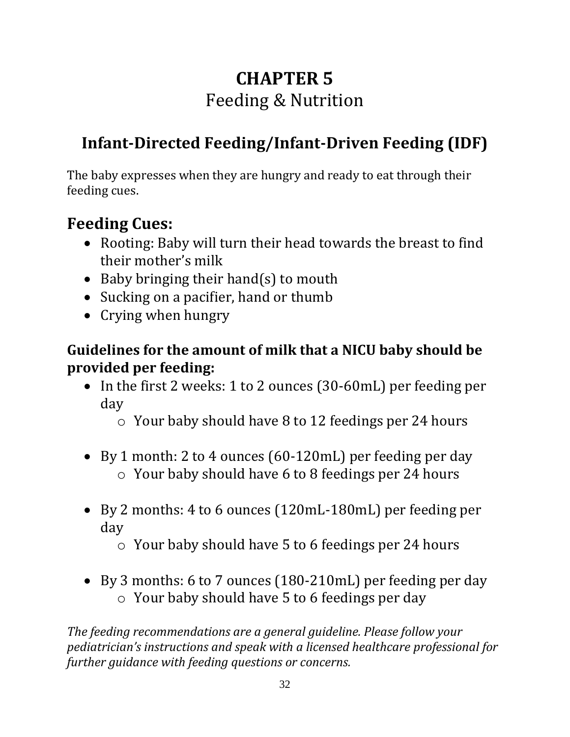# **CHAPTER 5** Feeding & Nutrition

# **Infant-Directed Feeding/Infant-Driven Feeding (IDF)**

The baby expresses when they are hungry and ready to eat through their feeding cues.

## **Feeding Cues:**

- Rooting: Baby will turn their head towards the breast to find their mother's milk
- Baby bringing their hand(s) to mouth
- Sucking on a pacifier, hand or thumb
- Crying when hungry

## **Guidelines for the amount of milk that a NICU baby should be provided per feeding:**

- In the first 2 weeks: 1 to 2 ounces (30-60mL) per feeding per day
	- o Your baby should have 8 to 12 feedings per 24 hours
- By 1 month: 2 to 4 ounces (60-120mL) per feeding per day o Your baby should have 6 to 8 feedings per 24 hours
- By 2 months: 4 to 6 ounces (120mL-180mL) per feeding per day
	- o Your baby should have 5 to 6 feedings per 24 hours
- By 3 months: 6 to 7 ounces (180-210mL) per feeding per day o Your baby should have 5 to 6 feedings per day

*The feeding recommendations are a general guideline. Please follow your pediatrician's instructions and speak with a licensed healthcare professional for further guidance with feeding questions or concerns.*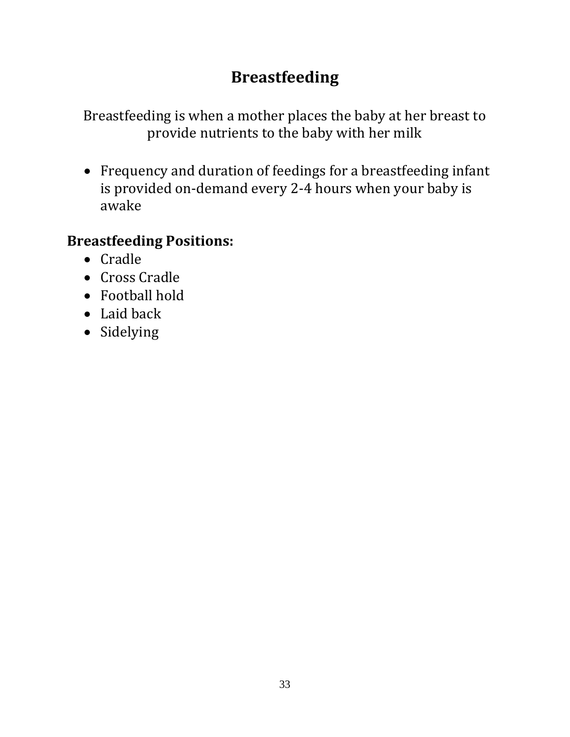# **Breastfeeding**

Breastfeeding is when a mother places the baby at her breast to provide nutrients to the baby with her milk

• Frequency and duration of feedings for a breastfeeding infant is provided on-demand every 2-4 hours when your baby is awake

## **Breastfeeding Positions:**

- Cradle
- Cross Cradle
- Football hold
- Laid back
- Sidelying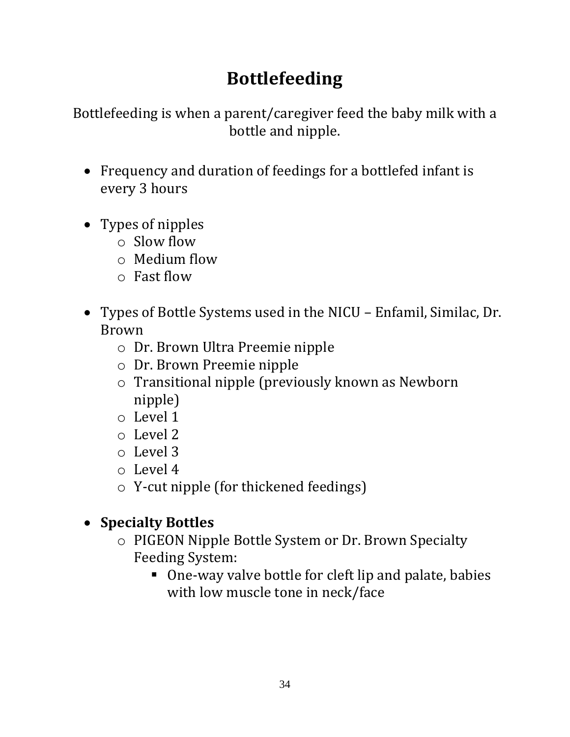# **Bottlefeeding**

Bottlefeeding is when a parent/caregiver feed the baby milk with a bottle and nipple.

- Frequency and duration of feedings for a bottlefed infant is every 3 hours
- Types of nipples
	- $\circ$  Slow flow
	- o Medium flow
	- o Fast flow
- Types of Bottle Systems used in the NICU Enfamil, Similac, Dr. Brown
	- o Dr. Brown Ultra Preemie nipple
	- o Dr. Brown Preemie nipple
	- o Transitional nipple (previously known as Newborn nipple)
	- o Level 1
	- o Level 2
	- o Level 3
	- o Level 4
	- o Y-cut nipple (for thickened feedings)

## • **Specialty Bottles**

- o PIGEON Nipple Bottle System or Dr. Brown Specialty Feeding System:
	- One-way valve bottle for cleft lip and palate, babies with low muscle tone in neck/face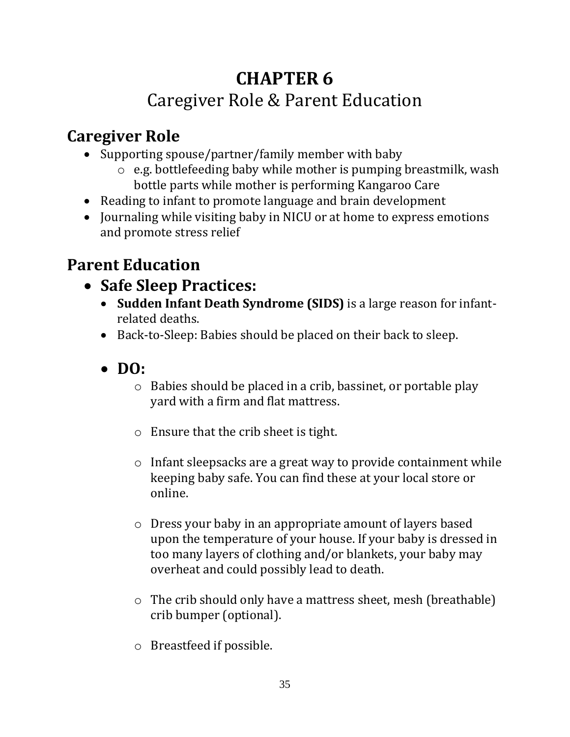# **CHAPTER 6** Caregiver Role & Parent Education

# **Caregiver Role**

- Supporting spouse/partner/family member with baby
	- o e.g. bottlefeeding baby while mother is pumping breastmilk, wash bottle parts while mother is performing Kangaroo Care
- Reading to infant to promote language and brain development
- Journaling while visiting baby in NICU or at home to express emotions and promote stress relief

# **Parent Education**

- **Safe Sleep Practices:** 
	- **Sudden Infant Death Syndrome (SIDS)** is a large reason for infantrelated deaths.
	- Back-to-Sleep: Babies should be placed on their back to sleep.
	- **DO:**
		- o Babies should be placed in a crib, bassinet, or portable play yard with a firm and flat mattress.
		- o Ensure that the crib sheet is tight.
		- o Infant sleepsacks are a great way to provide containment while keeping baby safe. You can find these at your local store or online.
		- o Dress your baby in an appropriate amount of layers based upon the temperature of your house. If your baby is dressed in too many layers of clothing and/or blankets, your baby may overheat and could possibly lead to death.
		- o The crib should only have a mattress sheet, mesh (breathable) crib bumper (optional).
		- o Breastfeed if possible.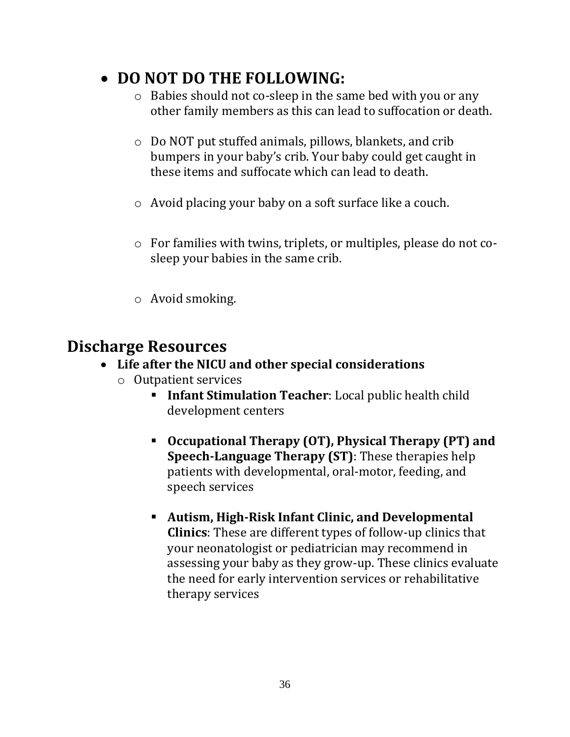## • **DO NOT DO THE FOLLOWING:**

- o Babies should not co-sleep in the same bed with you or any other family members as this can lead to suffocation or death.
- o Do NOT put stuffed animals, pillows, blankets, and crib bumpers in your baby's crib. Your baby could get caught in these items and suffocate which can lead to death.
- o Avoid placing your baby on a soft surface like a couch.
- o For families with twins, triplets, or multiples, please do not cosleep your babies in the same crib.
- o Avoid smoking.

## **Discharge Resources**

## • **Life after the NICU and other special considerations**

- o Outpatient services
	- **Infant Stimulation Teacher**: Local public health child development centers
	- **Occupational Therapy (OT), Physical Therapy (PT) and Speech-Language Therapy (ST)**: These therapies help patients with developmental, oral-motor, feeding, and speech services
	- **Autism, High-Risk Infant Clinic, and Developmental Clinics**: These are different types of follow-up clinics that your neonatologist or pediatrician may recommend in assessing your baby as they grow-up. These clinics evaluate the need for early intervention services or rehabilitative therapy services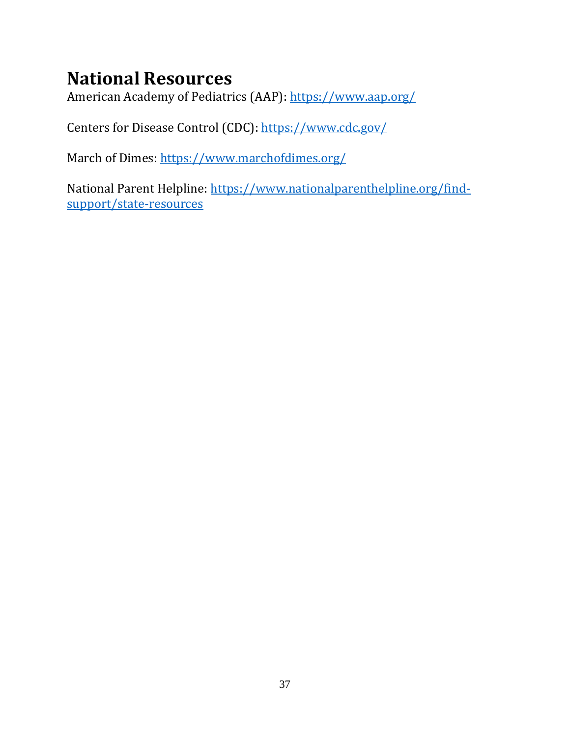# **National Resources**

American Academy of Pediatrics (AAP):<https://www.aap.org/>

Centers for Disease Control (CDC):<https://www.cdc.gov/>

March of Dimes:<https://www.marchofdimes.org/>

National Parent Helpline: [https://www.nationalparenthelpline.org/find](https://www.nationalparenthelpline.org/find-support/state-resources)[support/state-resources](https://www.nationalparenthelpline.org/find-support/state-resources)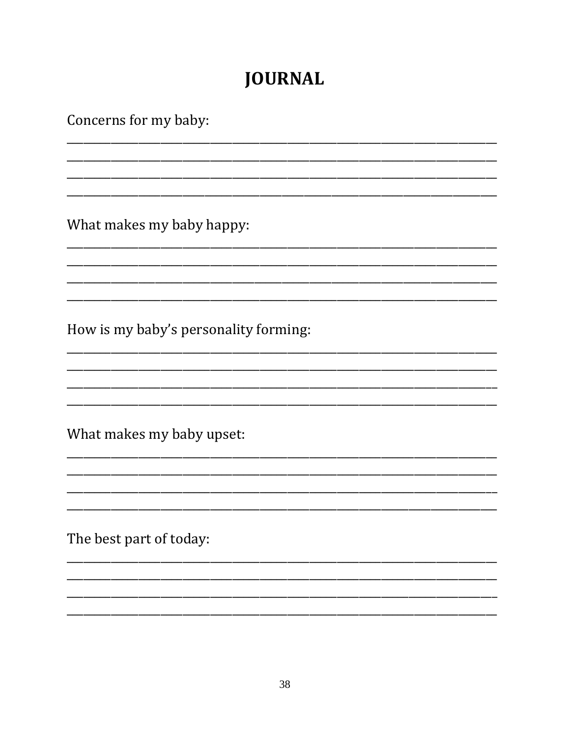# **JOURNAL**

Concerns for my baby:

What makes my baby happy:

How is my baby's personality forming:

What makes my baby upset:

The best part of today: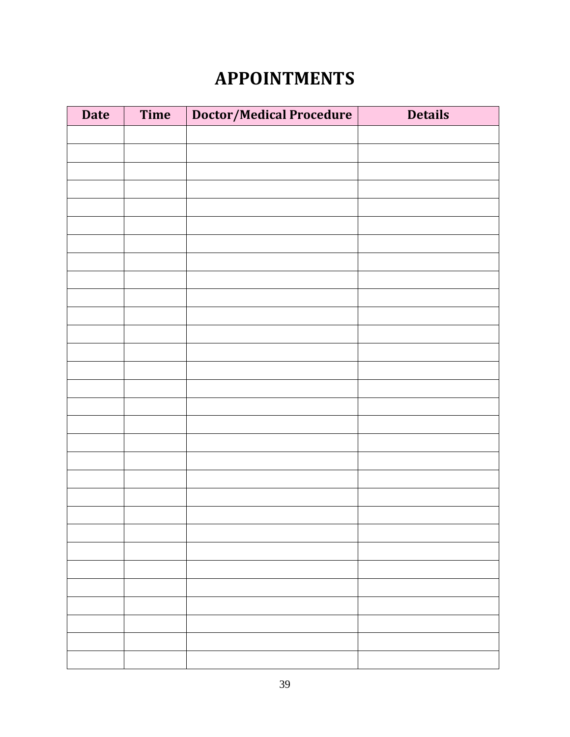# **APPOINTMENTS**

| <b>Date</b> | Time | Doctor/Medical Procedure | <b>Details</b> |
|-------------|------|--------------------------|----------------|
|             |      |                          |                |
|             |      |                          |                |
|             |      |                          |                |
|             |      |                          |                |
|             |      |                          |                |
|             |      |                          |                |
|             |      |                          |                |
|             |      |                          |                |
|             |      |                          |                |
|             |      |                          |                |
|             |      |                          |                |
|             |      |                          |                |
|             |      |                          |                |
|             |      |                          |                |
|             |      |                          |                |
|             |      |                          |                |
|             |      |                          |                |
|             |      |                          |                |
|             |      |                          |                |
|             |      |                          |                |
|             |      |                          |                |
|             |      |                          |                |
|             |      |                          |                |
|             |      |                          |                |
|             |      |                          |                |
|             |      |                          |                |
|             |      |                          |                |
|             |      |                          |                |
|             |      |                          |                |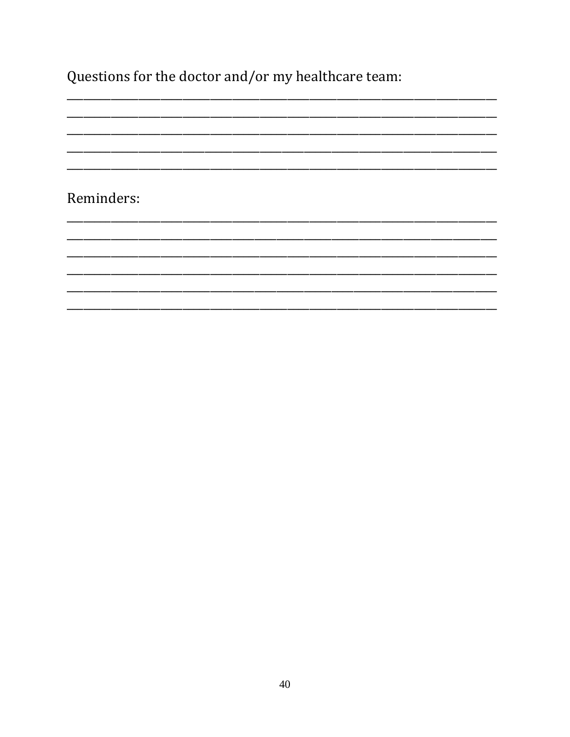Questions for the doctor and/or my healthcare team:

<u> 1999 - 1999 - 1999 - 1999 - 1999 - 1999 - 1999 - 1999 - 1999 - 1999 - 1999 - 1999 - 1999 - 1999 - 1999 - 1999 - 19</u>

Reminders: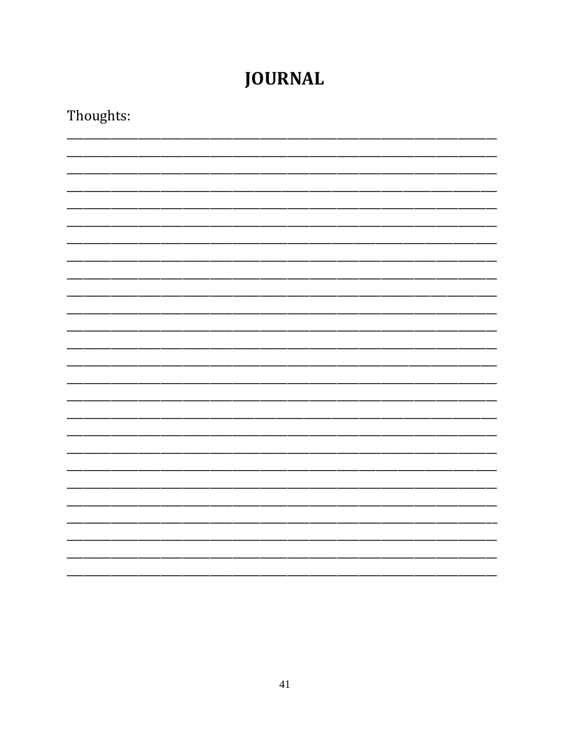# **JOURNAL**

| Thoughts: |  |  |  |  |  |
|-----------|--|--|--|--|--|
|           |  |  |  |  |  |
|           |  |  |  |  |  |
|           |  |  |  |  |  |
|           |  |  |  |  |  |
|           |  |  |  |  |  |
|           |  |  |  |  |  |
|           |  |  |  |  |  |
|           |  |  |  |  |  |
|           |  |  |  |  |  |
|           |  |  |  |  |  |
|           |  |  |  |  |  |
|           |  |  |  |  |  |
|           |  |  |  |  |  |
|           |  |  |  |  |  |
|           |  |  |  |  |  |
|           |  |  |  |  |  |
|           |  |  |  |  |  |
|           |  |  |  |  |  |
|           |  |  |  |  |  |
|           |  |  |  |  |  |
|           |  |  |  |  |  |
|           |  |  |  |  |  |
|           |  |  |  |  |  |
|           |  |  |  |  |  |
|           |  |  |  |  |  |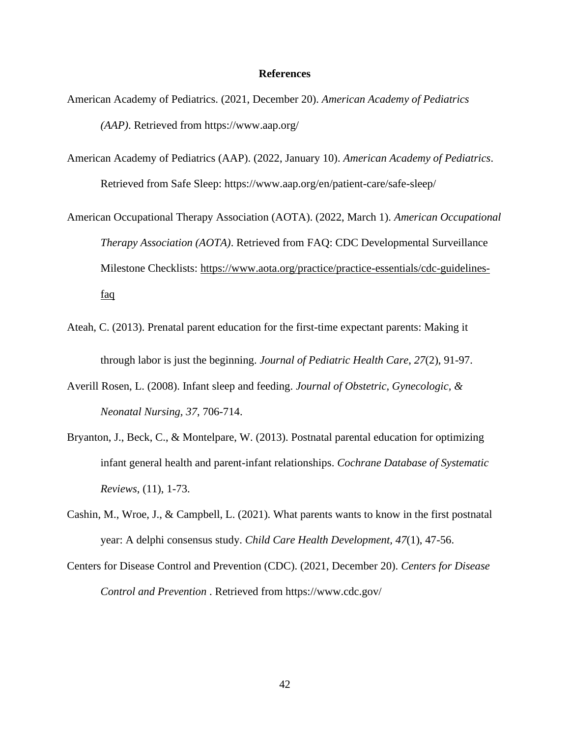### **References**

- American Academy of Pediatrics. (2021, December 20). *American Academy of Pediatrics (AAP)*. Retrieved from https://www.aap.org/
- American Academy of Pediatrics (AAP). (2022, January 10). *American Academy of Pediatrics*. Retrieved from Safe Sleep: https://www.aap.org/en/patient-care/safe-sleep/
- American Occupational Therapy Association (AOTA). (2022, March 1). *American Occupational Therapy Association (AOTA)*. Retrieved from FAQ: CDC Developmental Surveillance Milestone Checklists: [https://www.aota.org/practice/practice-essentials/cdc-guidelines](https://www.aota.org/practice/practice-essentials/cdc-guidelines-faq)[faq](https://www.aota.org/practice/practice-essentials/cdc-guidelines-faq)
- Ateah, C. (2013). Prenatal parent education for the first-time expectant parents: Making it through labor is just the beginning. *Journal of Pediatric Health Care*, *27*(2), 91-97.
- Averill Rosen, L. (2008). Infant sleep and feeding. *Journal of Obstetric, Gynecologic, & Neonatal Nursing, 37*, 706-714.
- Bryanton, J., Beck, C., & Montelpare, W. (2013). Postnatal parental education for optimizing infant general health and parent-infant relationships. *Cochrane Database of Systematic Reviews*, (11), 1-73.
- Cashin, M., Wroe, J., & Campbell, L. (2021). What parents wants to know in the first postnatal year: A delphi consensus study. *Child Care Health Development, 47*(1), 47-56.
- Centers for Disease Control and Prevention (CDC). (2021, December 20). *Centers for Disease Control and Prevention* . Retrieved from https://www.cdc.gov/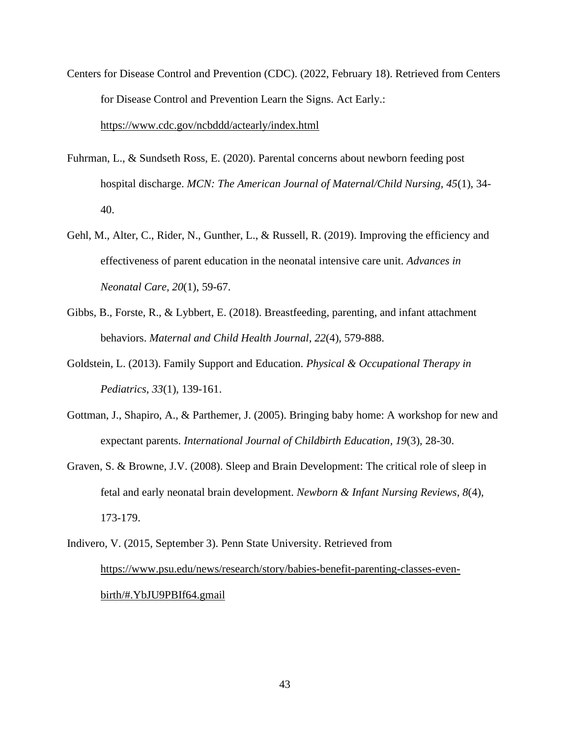- Centers for Disease Control and Prevention (CDC). (2022, February 18). Retrieved from Centers for Disease Control and Prevention Learn the Signs. Act Early.: <https://www.cdc.gov/ncbddd/actearly/index.html>
- Fuhrman, L., & Sundseth Ross, E. (2020). Parental concerns about newborn feeding post hospital discharge. *MCN: The American Journal of Maternal/Child Nursing, 45*(1), 34- 40.
- Gehl, M., Alter, C., Rider, N., Gunther, L., & Russell, R. (2019). Improving the efficiency and effectiveness of parent education in the neonatal intensive care unit. *Advances in Neonatal Care, 20*(1), 59-67.
- Gibbs, B., Forste, R., & Lybbert, E. (2018). Breastfeeding, parenting, and infant attachment behaviors. *Maternal and Child Health Journal, 22*(4), 579-888.
- Goldstein, L. (2013). Family Support and Education. *Physical & Occupational Therapy in Pediatrics, 33*(1), 139-161.
- Gottman, J., Shapiro, A., & Parthemer, J. (2005). Bringing baby home: A workshop for new and expectant parents. *International Journal of Childbirth Education, 19*(3), 28-30.
- Graven, S. & Browne, J.V. (2008). Sleep and Brain Development: The critical role of sleep in fetal and early neonatal brain development. *Newborn & Infant Nursing Reviews, 8*(4), 173-179.
- Indivero, V. (2015, September 3). Penn State University. Retrieved from [https://www.psu.edu/news/research/story/babies-benefit-parenting-classes-even](ttps://www.psu.edu/news/research/story/babies-benefit-parenting-classes-even-b)[birth/#.YbJU9PBIf64.gmail](ttps://www.psu.edu/news/research/story/babies-benefit-parenting-classes-even-b)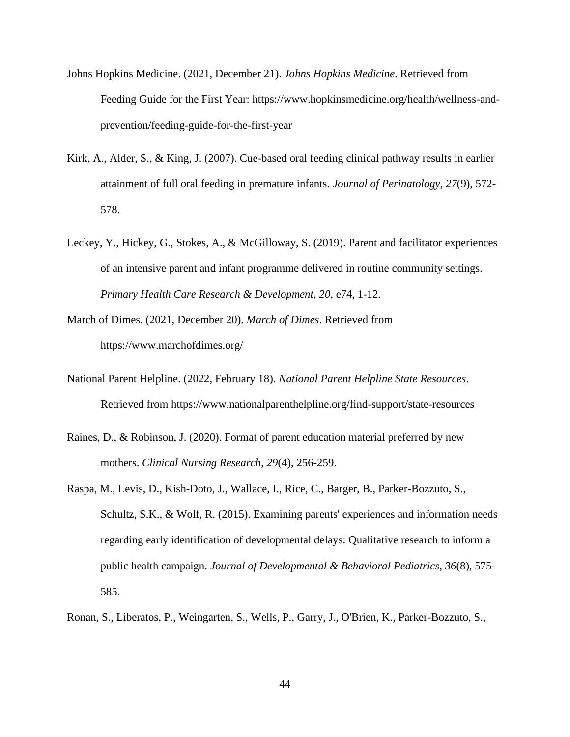- Johns Hopkins Medicine. (2021, December 21). *Johns Hopkins Medicine*. Retrieved from Feeding Guide for the First Year: https://www.hopkinsmedicine.org/health/wellness-andprevention/feeding-guide-for-the-first-year
- Kirk, A., Alder, S., & King, J. (2007). Cue-based oral feeding clinical pathway results in earlier attainment of full oral feeding in premature infants. *Journal of Perinatology, 27*(9), 572- 578.
- Leckey, Y., Hickey, G., Stokes, A., & McGilloway, S. (2019). Parent and facilitator experiences of an intensive parent and infant programme delivered in routine community settings. *Primary Health Care Research & Development, 20*, e74, 1-12.
- March of Dimes. (2021, December 20). *March of Dimes*. Retrieved from https://www.marchofdimes.org/
- National Parent Helpline. (2022, February 18). *National Parent Helpline State Resources*. Retrieved from https://www.nationalparenthelpline.org/find-support/state-resources
- Raines, D., & Robinson, J. (2020). Format of parent education material preferred by new mothers. *Clinical Nursing Research, 29*(4), 256-259.
- Raspa, M., Levis, D., Kish-Doto, J., Wallace, I., Rice, C., Barger, B., Parker-Bozzuto, S., Schultz, S.K., & Wolf, R. (2015). Examining parents' experiences and information needs regarding early identification of developmental delays: Qualitative research to inform a public health campaign. *Journal of Developmental & Behavioral Pediatrics, 36*(8), 575- 585.
- Ronan, S., Liberatos, P., Weingarten, S., Wells, P., Garry, J., O'Brien, K., Parker-Bozzuto, S.,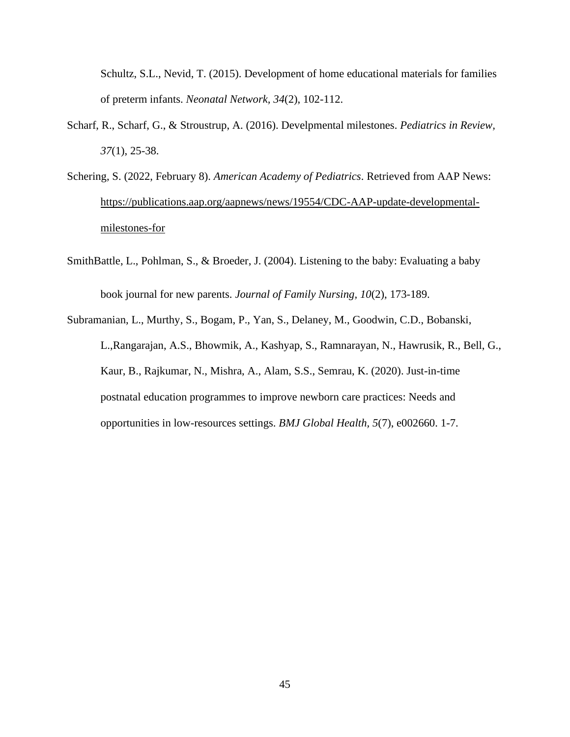Schultz, S.L., Nevid, T. (2015). Development of home educational materials for families of preterm infants. *Neonatal Network, 34*(2), 102-112.

- Scharf, R., Scharf, G., & Stroustrup, A. (2016). Develpmental milestones. *Pediatrics in Review, 37*(1), 25-38.
- Schering, S. (2022, February 8). *American Academy of Pediatrics*. Retrieved from AAP News: [https://publications.aap.org/aapnews/news/19554/CDC-AAP-update-developmental](https://publications.aap.org/aapnews/news/19554/CDC-AAP-update-developmental-milestones-for)[milestones-for](https://publications.aap.org/aapnews/news/19554/CDC-AAP-update-developmental-milestones-for)
- SmithBattle, L., Pohlman, S., & Broeder, J. (2004). Listening to the baby: Evaluating a baby book journal for new parents. *Journal of Family Nursing, 10*(2), 173-189.
- Subramanian, L., Murthy, S., Bogam, P., Yan, S., Delaney, M., Goodwin, C.D., Bobanski, L.,Rangarajan, A.S., Bhowmik, A., Kashyap, S., Ramnarayan, N., Hawrusik, R., Bell, G., Kaur, B., Rajkumar, N., Mishra, A., Alam, S.S., Semrau, K. (2020). Just-in-time postnatal education programmes to improve newborn care practices: Needs and opportunities in low-resources settings. *BMJ Global Health, 5*(7), e002660. 1-7.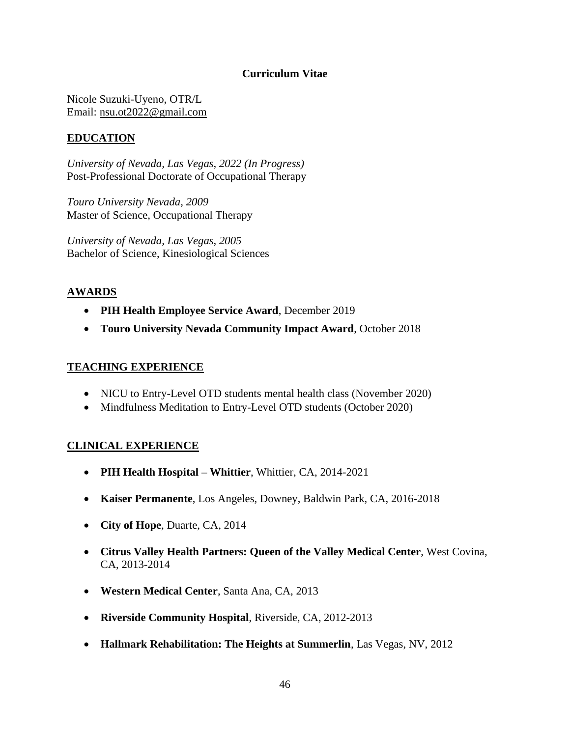## **Curriculum Vitae**

Nicole Suzuki-Uyeno, OTR/L Email: [nsu.ot2022@gmail.com](mailto:nsu.ot2022@gmail.com)

## **EDUCATION**

*University of Nevada, Las Vegas, 2022 (In Progress)* Post-Professional Doctorate of Occupational Therapy

*Touro University Nevada, 2009* Master of Science, Occupational Therapy

*University of Nevada, Las Vegas, 2005* Bachelor of Science, Kinesiological Sciences

## **AWARDS**

- **PIH Health Employee Service Award**, December 2019
- **Touro University Nevada Community Impact Award**, October 2018

## **TEACHING EXPERIENCE**

- NICU to Entry-Level OTD students mental health class (November 2020)
- Mindfulness Meditation to Entry-Level OTD students (October 2020)

## **CLINICAL EXPERIENCE**

- **PIH Health Hospital – Whittier**, Whittier, CA, 2014-2021
- **Kaiser Permanente**, Los Angeles, Downey, Baldwin Park, CA, 2016-2018
- **City of Hope**, Duarte, CA, 2014
- **Citrus Valley Health Partners: Queen of the Valley Medical Center**, West Covina, CA, 2013-2014
- **Western Medical Center**, Santa Ana, CA, 2013
- **Riverside Community Hospital**, Riverside, CA, 2012-2013
- **Hallmark Rehabilitation: The Heights at Summerlin**, Las Vegas, NV, 2012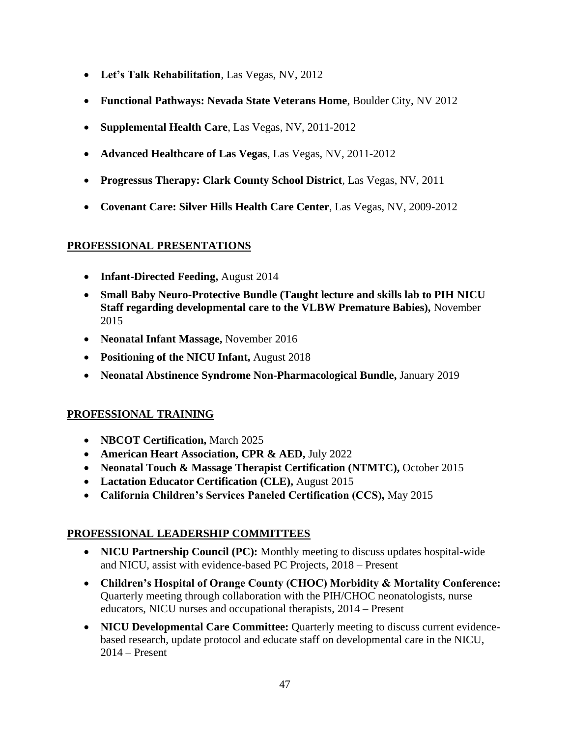- **Let's Talk Rehabilitation**, Las Vegas, NV, 2012
- **Functional Pathways: Nevada State Veterans Home**, Boulder City, NV 2012
- **Supplemental Health Care**, Las Vegas, NV, 2011-2012
- **Advanced Healthcare of Las Vegas**, Las Vegas, NV, 2011-2012
- **Progressus Therapy: Clark County School District**, Las Vegas, NV, 2011
- **Covenant Care: Silver Hills Health Care Center**, Las Vegas, NV, 2009-2012

## **PROFESSIONAL PRESENTATIONS**

- **Infant-Directed Feeding,** August 2014
- **Small Baby Neuro-Protective Bundle (Taught lecture and skills lab to PIH NICU Staff regarding developmental care to the VLBW Premature Babies),** November 2015
- **Neonatal Infant Massage,** November 2016
- **Positioning of the NICU Infant,** August 2018
- **Neonatal Abstinence Syndrome Non-Pharmacological Bundle,** January 2019

## **PROFESSIONAL TRAINING**

- **NBCOT Certification,** March 2025
- **American Heart Association, CPR & AED,** July 2022
- **Neonatal Touch & Massage Therapist Certification (NTMTC),** October 2015
- **Lactation Educator Certification (CLE),** August 2015
- **California Children's Services Paneled Certification (CCS),** May 2015

## **PROFESSIONAL LEADERSHIP COMMITTEES**

- **NICU Partnership Council (PC):** Monthly meeting to discuss updates hospital-wide and NICU, assist with evidence-based PC Projects, 2018 – Present
- **Children's Hospital of Orange County (CHOC) Morbidity & Mortality Conference:**  Quarterly meeting through collaboration with the PIH/CHOC neonatologists, nurse educators, NICU nurses and occupational therapists, 2014 – Present
- **NICU Developmental Care Committee:** Quarterly meeting to discuss current evidencebased research, update protocol and educate staff on developmental care in the NICU, 2014 – Present